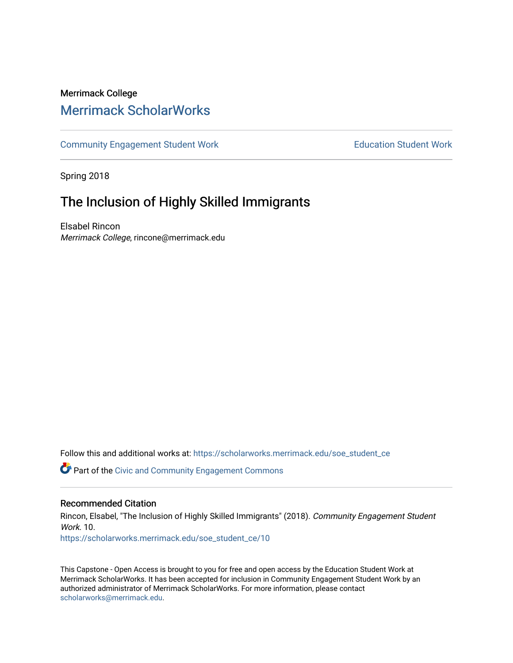# Merrimack College [Merrimack ScholarWorks](https://scholarworks.merrimack.edu/)

[Community Engagement Student Work](https://scholarworks.merrimack.edu/soe_student_ce) **Education Student Work** Education Student Work

Spring 2018

# The Inclusion of Highly Skilled Immigrants

Elsabel Rincon Merrimack College, rincone@merrimack.edu

Follow this and additional works at: [https://scholarworks.merrimack.edu/soe\\_student\\_ce](https://scholarworks.merrimack.edu/soe_student_ce?utm_source=scholarworks.merrimack.edu%2Fsoe_student_ce%2F10&utm_medium=PDF&utm_campaign=PDFCoverPages) 

Part of the [Civic and Community Engagement Commons](http://network.bepress.com/hgg/discipline/1028?utm_source=scholarworks.merrimack.edu%2Fsoe_student_ce%2F10&utm_medium=PDF&utm_campaign=PDFCoverPages)

#### Recommended Citation

Rincon, Elsabel, "The Inclusion of Highly Skilled Immigrants" (2018). Community Engagement Student Work 10 [https://scholarworks.merrimack.edu/soe\\_student\\_ce/10](https://scholarworks.merrimack.edu/soe_student_ce/10?utm_source=scholarworks.merrimack.edu%2Fsoe_student_ce%2F10&utm_medium=PDF&utm_campaign=PDFCoverPages)

This Capstone - Open Access is brought to you for free and open access by the Education Student Work at Merrimack ScholarWorks. It has been accepted for inclusion in Community Engagement Student Work by an authorized administrator of Merrimack ScholarWorks. For more information, please contact [scholarworks@merrimack.edu](mailto:scholarworks@merrimack.edu).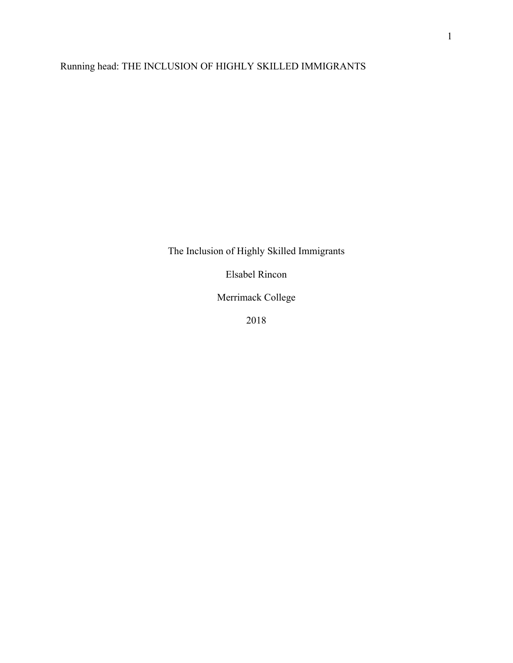# Running head: THE INCLUSION OF HIGHLY SKILLED IMMIGRANTS

The Inclusion of Highly Skilled Immigrants

Elsabel Rincon

Merrimack College

2018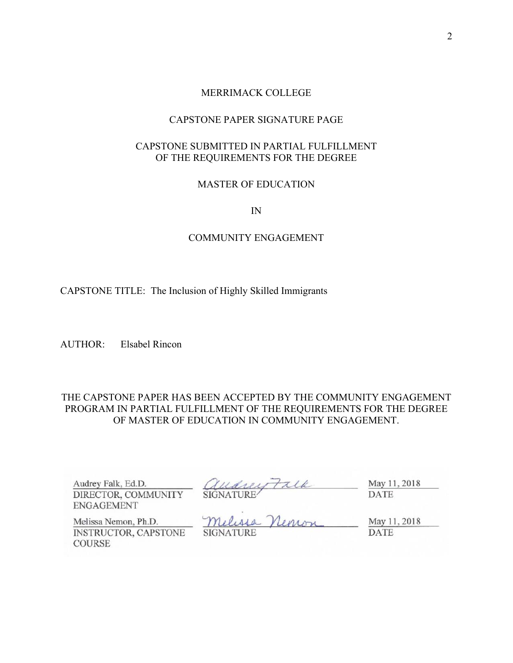#### MERRIMACK COLLEGE

#### CAPSTONE PAPER SIGNATURE PAGE

# CAPSTONE SUBMITTED IN PARTIAL FULFILLMENT OF THE REQUIREMENTS FOR THE DEGREE

#### MASTER OF EDUCATION

IN

#### COMMUNITY ENGAGEMENT

CAPSTONE TITLE: The Inclusion of Highly Skilled Immigrants

AUTHOR: Elsabel Rincon

### THE CAPSTONE PAPER HAS BEEN ACCEPTED BY THE COMMUNITY ENGAGEMENT PROGRAM IN PARTIAL FULFILLMENT OF THE REQUIREMENTS FOR THE DEGREE OF MASTER OF EDUCATION IN COMMUNITY ENGAGEMENT.

| Audrey Falk, Ed.D.                           | audrey Falk      | May 11, 2018 |
|----------------------------------------------|------------------|--------------|
| DIRECTOR, COMMUNITY<br><b>ENGAGEMENT</b>     |                  | DATE         |
| Melissa Nemon, Ph.D.                         | Melissa Nemon    | May 11, 2018 |
| <b>INSTRUCTOR, CAPSTONE</b><br><b>COURSE</b> | <b>SIGNATURE</b> | DATE         |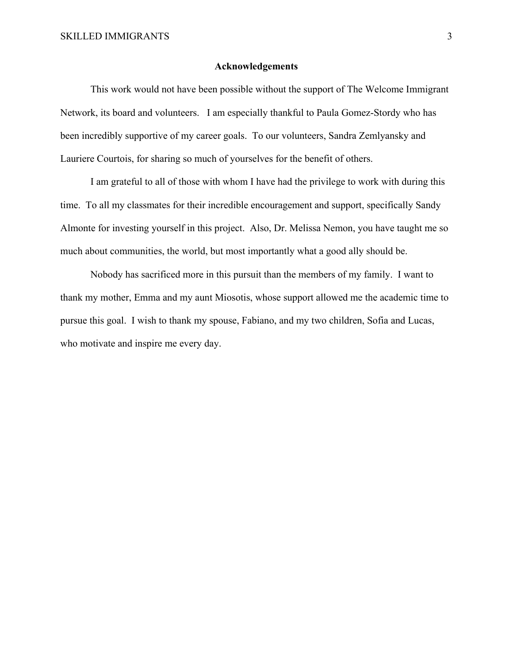#### **Acknowledgements**

 This work would not have been possible without the support of The Welcome Immigrant Network, its board and volunteers. I am especially thankful to Paula Gomez-Stordy who has been incredibly supportive of my career goals. To our volunteers, Sandra Zemlyansky and Lauriere Courtois, for sharing so much of yourselves for the benefit of others.

 I am grateful to all of those with whom I have had the privilege to work with during this time. To all my classmates for their incredible encouragement and support, specifically Sandy Almonte for investing yourself in this project. Also, Dr. Melissa Nemon, you have taught me so much about communities, the world, but most importantly what a good ally should be.

 Nobody has sacrificed more in this pursuit than the members of my family. I want to thank my mother, Emma and my aunt Miosotis, whose support allowed me the academic time to pursue this goal. I wish to thank my spouse, Fabiano, and my two children, Sofia and Lucas, who motivate and inspire me every day.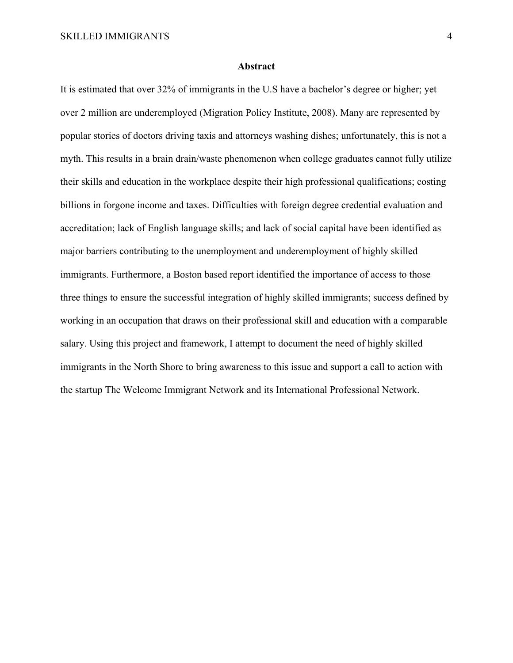#### **Abstract**

It is estimated that over 32% of immigrants in the U.S have a bachelor's degree or higher; yet over 2 million are underemployed (Migration Policy Institute, 2008). Many are represented by popular stories of doctors driving taxis and attorneys washing dishes; unfortunately, this is not a myth. This results in a brain drain/waste phenomenon when college graduates cannot fully utilize their skills and education in the workplace despite their high professional qualifications; costing billions in forgone income and taxes. Difficulties with foreign degree credential evaluation and accreditation; lack of English language skills; and lack of social capital have been identified as major barriers contributing to the unemployment and underemployment of highly skilled immigrants. Furthermore, a Boston based report identified the importance of access to those three things to ensure the successful integration of highly skilled immigrants; success defined by working in an occupation that draws on their professional skill and education with a comparable salary. Using this project and framework, I attempt to document the need of highly skilled immigrants in the North Shore to bring awareness to this issue and support a call to action with the startup The Welcome Immigrant Network and its International Professional Network.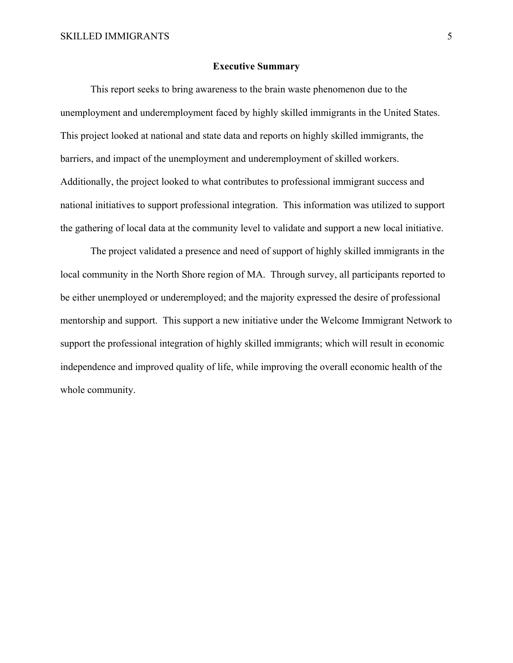#### **Executive Summary**

 This report seeks to bring awareness to the brain waste phenomenon due to the unemployment and underemployment faced by highly skilled immigrants in the United States. This project looked at national and state data and reports on highly skilled immigrants, the barriers, and impact of the unemployment and underemployment of skilled workers. Additionally, the project looked to what contributes to professional immigrant success and national initiatives to support professional integration. This information was utilized to support the gathering of local data at the community level to validate and support a new local initiative.

 The project validated a presence and need of support of highly skilled immigrants in the local community in the North Shore region of MA. Through survey, all participants reported to be either unemployed or underemployed; and the majority expressed the desire of professional mentorship and support. This support a new initiative under the Welcome Immigrant Network to support the professional integration of highly skilled immigrants; which will result in economic independence and improved quality of life, while improving the overall economic health of the whole community.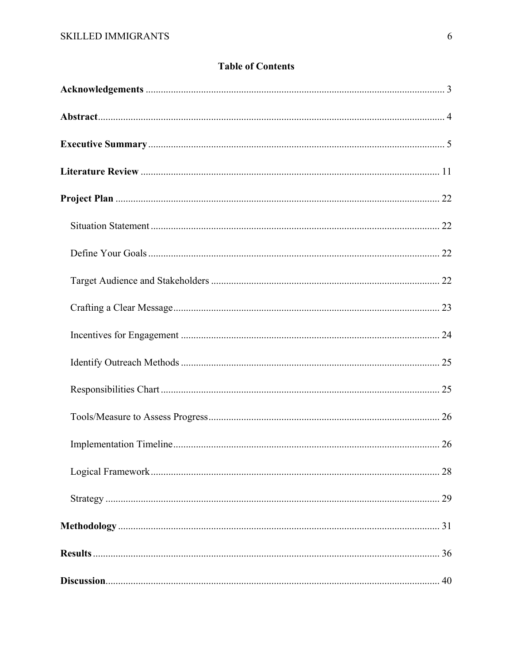# **Table of Contents**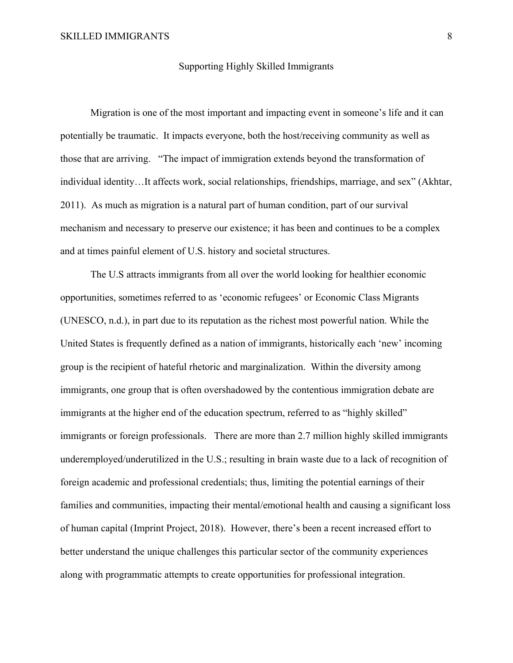#### Supporting Highly Skilled Immigrants

Migration is one of the most important and impacting event in someone's life and it can potentially be traumatic. It impacts everyone, both the host/receiving community as well as those that are arriving. "The impact of immigration extends beyond the transformation of individual identity…It affects work, social relationships, friendships, marriage, and sex" (Akhtar, 2011). As much as migration is a natural part of human condition, part of our survival mechanism and necessary to preserve our existence; it has been and continues to be a complex and at times painful element of U.S. history and societal structures.

The U.S attracts immigrants from all over the world looking for healthier economic opportunities, sometimes referred to as 'economic refugees' or Economic Class Migrants (UNESCO, n.d.), in part due to its reputation as the richest most powerful nation. While the United States is frequently defined as a nation of immigrants, historically each 'new' incoming group is the recipient of hateful rhetoric and marginalization. Within the diversity among immigrants, one group that is often overshadowed by the contentious immigration debate are immigrants at the higher end of the education spectrum, referred to as "highly skilled" immigrants or foreign professionals. There are more than 2.7 million highly skilled immigrants underemployed/underutilized in the U.S.; resulting in brain waste due to a lack of recognition of foreign academic and professional credentials; thus, limiting the potential earnings of their families and communities, impacting their mental/emotional health and causing a significant loss of human capital (Imprint Project, 2018). However, there's been a recent increased effort to better understand the unique challenges this particular sector of the community experiences along with programmatic attempts to create opportunities for professional integration.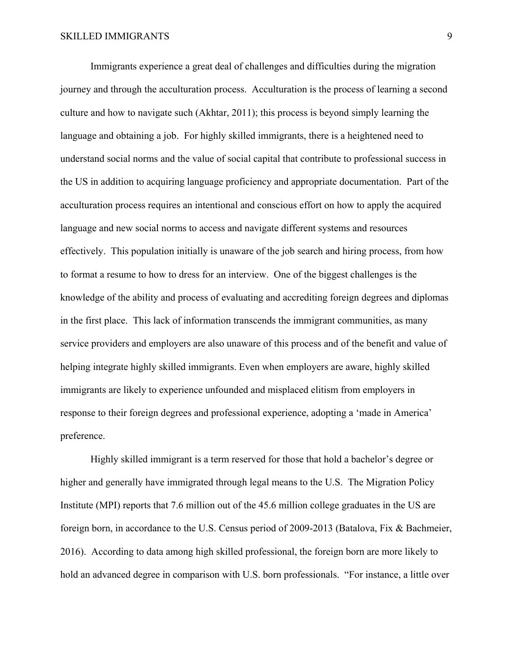Immigrants experience a great deal of challenges and difficulties during the migration journey and through the acculturation process. Acculturation is the process of learning a second culture and how to navigate such (Akhtar, 2011); this process is beyond simply learning the language and obtaining a job. For highly skilled immigrants, there is a heightened need to understand social norms and the value of social capital that contribute to professional success in the US in addition to acquiring language proficiency and appropriate documentation. Part of the acculturation process requires an intentional and conscious effort on how to apply the acquired language and new social norms to access and navigate different systems and resources effectively. This population initially is unaware of the job search and hiring process, from how to format a resume to how to dress for an interview. One of the biggest challenges is the knowledge of the ability and process of evaluating and accrediting foreign degrees and diplomas in the first place. This lack of information transcends the immigrant communities, as many service providers and employers are also unaware of this process and of the benefit and value of helping integrate highly skilled immigrants. Even when employers are aware, highly skilled immigrants are likely to experience unfounded and misplaced elitism from employers in response to their foreign degrees and professional experience, adopting a 'made in America' preference.

Highly skilled immigrant is a term reserved for those that hold a bachelor's degree or higher and generally have immigrated through legal means to the U.S. The Migration Policy Institute (MPI) reports that 7.6 million out of the 45.6 million college graduates in the US are foreign born, in accordance to the U.S. Census period of 2009-2013 (Batalova, Fix & Bachmeier, 2016). According to data among high skilled professional, the foreign born are more likely to hold an advanced degree in comparison with U.S. born professionals. "For instance, a little over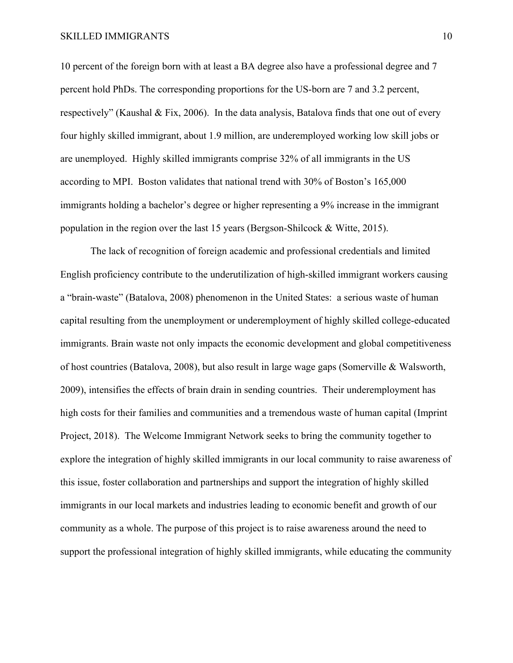10 percent of the foreign born with at least a BA degree also have a professional degree and 7 percent hold PhDs. The corresponding proportions for the US-born are 7 and 3.2 percent, respectively" (Kaushal & Fix, 2006). In the data analysis, Batalova finds that one out of every four highly skilled immigrant, about 1.9 million, are underemployed working low skill jobs or are unemployed. Highly skilled immigrants comprise 32% of all immigrants in the US according to MPI. Boston validates that national trend with 30% of Boston's 165,000 immigrants holding a bachelor's degree or higher representing a 9% increase in the immigrant population in the region over the last 15 years (Bergson-Shilcock & Witte, 2015).

 The lack of recognition of foreign academic and professional credentials and limited English proficiency contribute to the underutilization of high-skilled immigrant workers causing a "brain-waste" (Batalova, 2008) phenomenon in the United States: a serious waste of human capital resulting from the unemployment or underemployment of highly skilled college-educated immigrants. Brain waste not only impacts the economic development and global competitiveness of host countries (Batalova, 2008), but also result in large wage gaps (Somerville & Walsworth, 2009), intensifies the effects of brain drain in sending countries. Their underemployment has high costs for their families and communities and a tremendous waste of human capital (Imprint Project, 2018). The Welcome Immigrant Network seeks to bring the community together to explore the integration of highly skilled immigrants in our local community to raise awareness of this issue, foster collaboration and partnerships and support the integration of highly skilled immigrants in our local markets and industries leading to economic benefit and growth of our community as a whole. The purpose of this project is to raise awareness around the need to support the professional integration of highly skilled immigrants, while educating the community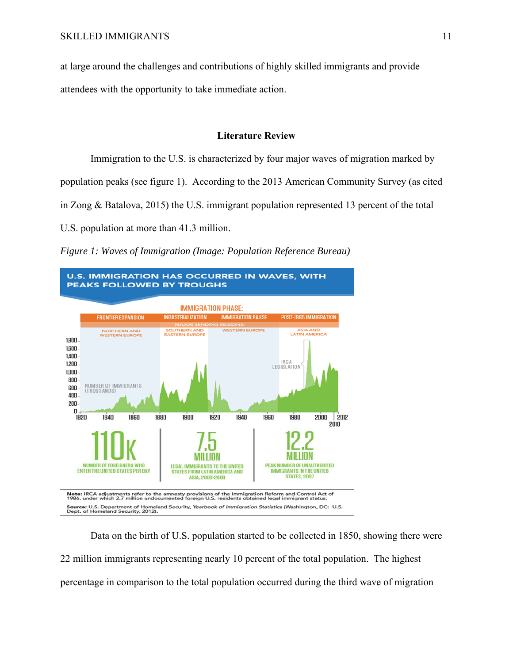at large around the challenges and contributions of highly skilled immigrants and provide attendees with the opportunity to take immediate action.

#### **Literature Review**

Immigration to the U.S. is characterized by four major waves of migration marked by

population peaks (see figure 1). According to the 2013 American Community Survey (as cited

in Zong & Batalova, 2015) the U.S. immigrant population represented 13 percent of the total

U.S. population at more than 41.3 million.

*Figure 1: Waves of Immigration (Image: Population Reference Bureau)* 



Data on the birth of U.S. population started to be collected in 1850, showing there were 22 million immigrants representing nearly 10 percent of the total population. The highest percentage in comparison to the total population occurred during the third wave of migration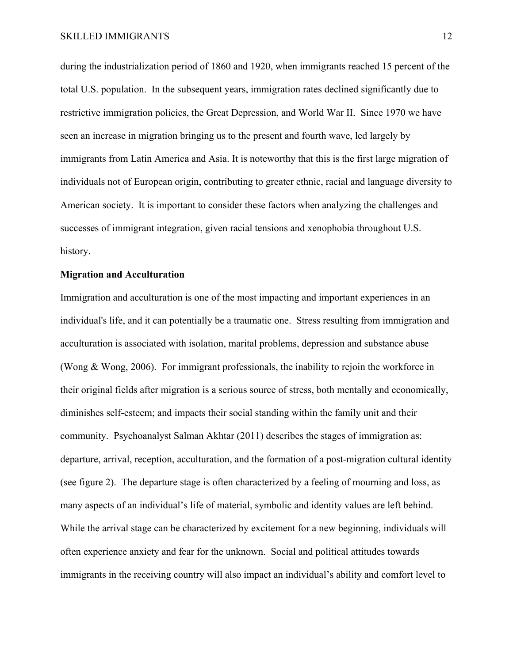during the industrialization period of 1860 and 1920, when immigrants reached 15 percent of the total U.S. population. In the subsequent years, immigration rates declined significantly due to restrictive immigration policies, the Great Depression, and World War II. Since 1970 we have seen an increase in migration bringing us to the present and fourth wave, led largely by immigrants from Latin America and Asia. It is noteworthy that this is the first large migration of individuals not of European origin, contributing to greater ethnic, racial and language diversity to American society. It is important to consider these factors when analyzing the challenges and successes of immigrant integration, given racial tensions and xenophobia throughout U.S. history.

#### **Migration and Acculturation**

Immigration and acculturation is one of the most impacting and important experiences in an individual's life, and it can potentially be a traumatic one. Stress resulting from immigration and acculturation is associated with isolation, marital problems, depression and substance abuse (Wong & Wong, 2006). For immigrant professionals, the inability to rejoin the workforce in their original fields after migration is a serious source of stress, both mentally and economically, diminishes self-esteem; and impacts their social standing within the family unit and their community. Psychoanalyst Salman Akhtar (2011) describes the stages of immigration as: departure, arrival, reception, acculturation, and the formation of a post-migration cultural identity (see figure 2). The departure stage is often characterized by a feeling of mourning and loss, as many aspects of an individual's life of material, symbolic and identity values are left behind. While the arrival stage can be characterized by excitement for a new beginning, individuals will often experience anxiety and fear for the unknown. Social and political attitudes towards immigrants in the receiving country will also impact an individual's ability and comfort level to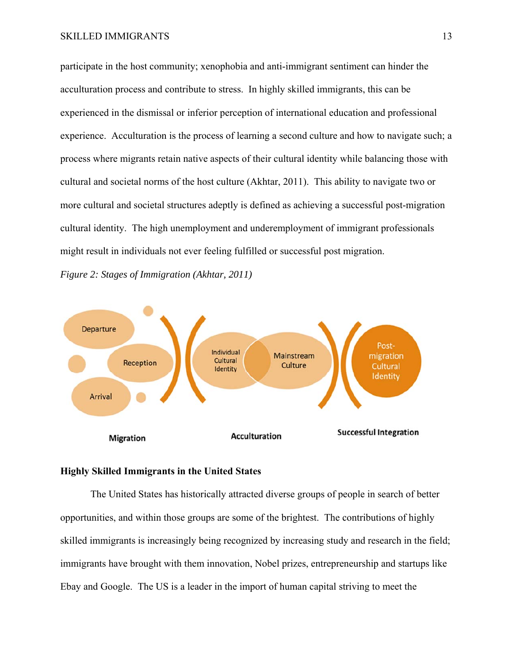participate in the host community; xenophobia and anti-immigrant sentiment can hinder the acculturation process and contribute to stress. In highly skilled immigrants, this can be experienced in the dismissal or inferior perception of international education and professional experience. Acculturation is the process of learning a second culture and how to navigate such; a process where migrants retain native aspects of their cultural identity while balancing those with cultural and societal norms of the host culture (Akhtar, 2011). This ability to navigate two or more cultural and societal structures adeptly is defined as achieving a successful post-migration cultural identity. The high unemployment and underemployment of immigrant professionals might result in individuals not ever feeling fulfilled or successful post migration.

*Figure 2: Stages of Immigration (Akhtar, 2011)* 



#### **Highly Skilled Immigrants in the United States**

 The United States has historically attracted diverse groups of people in search of better opportunities, and within those groups are some of the brightest. The contributions of highly skilled immigrants is increasingly being recognized by increasing study and research in the field; immigrants have brought with them innovation, Nobel prizes, entrepreneurship and startups like Ebay and Google. The US is a leader in the import of human capital striving to meet the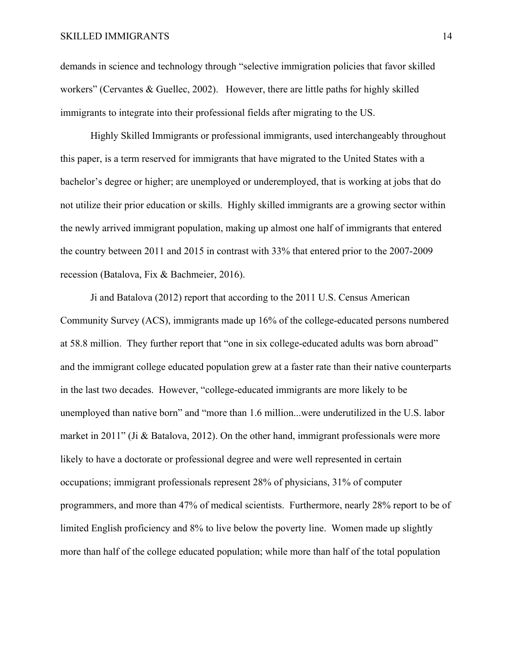demands in science and technology through "selective immigration policies that favor skilled workers" (Cervantes & Guellec, 2002). However, there are little paths for highly skilled immigrants to integrate into their professional fields after migrating to the US.

Highly Skilled Immigrants or professional immigrants, used interchangeably throughout this paper, is a term reserved for immigrants that have migrated to the United States with a bachelor's degree or higher; are unemployed or underemployed, that is working at jobs that do not utilize their prior education or skills. Highly skilled immigrants are a growing sector within the newly arrived immigrant population, making up almost one half of immigrants that entered the country between 2011 and 2015 in contrast with 33% that entered prior to the 2007-2009 recession (Batalova, Fix & Bachmeier, 2016).

 Ji and Batalova (2012) report that according to the 2011 U.S. Census American Community Survey (ACS), immigrants made up 16% of the college-educated persons numbered at 58.8 million. They further report that "one in six college-educated adults was born abroad" and the immigrant college educated population grew at a faster rate than their native counterparts in the last two decades. However, "college-educated immigrants are more likely to be unemployed than native born" and "more than 1.6 million...were underutilized in the U.S. labor market in 2011" (Ji & Batalova, 2012). On the other hand, immigrant professionals were more likely to have a doctorate or professional degree and were well represented in certain occupations; immigrant professionals represent 28% of physicians, 31% of computer programmers, and more than 47% of medical scientists. Furthermore, nearly 28% report to be of limited English proficiency and 8% to live below the poverty line. Women made up slightly more than half of the college educated population; while more than half of the total population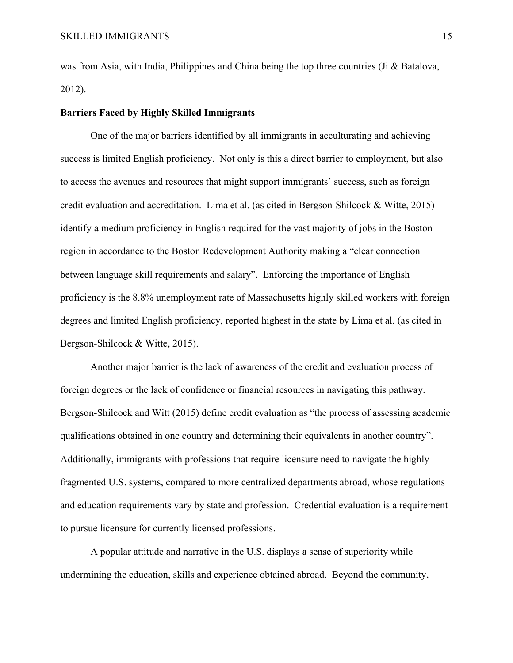was from Asia, with India, Philippines and China being the top three countries (Ji & Batalova, 2012).

#### **Barriers Faced by Highly Skilled Immigrants**

 One of the major barriers identified by all immigrants in acculturating and achieving success is limited English proficiency. Not only is this a direct barrier to employment, but also to access the avenues and resources that might support immigrants' success, such as foreign credit evaluation and accreditation. Lima et al. (as cited in Bergson-Shilcock & Witte, 2015) identify a medium proficiency in English required for the vast majority of jobs in the Boston region in accordance to the Boston Redevelopment Authority making a "clear connection between language skill requirements and salary". Enforcing the importance of English proficiency is the 8.8% unemployment rate of Massachusetts highly skilled workers with foreign degrees and limited English proficiency, reported highest in the state by Lima et al. (as cited in Bergson-Shilcock & Witte, 2015).

Another major barrier is the lack of awareness of the credit and evaluation process of foreign degrees or the lack of confidence or financial resources in navigating this pathway. Bergson-Shilcock and Witt (2015) define credit evaluation as "the process of assessing academic qualifications obtained in one country and determining their equivalents in another country". Additionally, immigrants with professions that require licensure need to navigate the highly fragmented U.S. systems, compared to more centralized departments abroad, whose regulations and education requirements vary by state and profession. Credential evaluation is a requirement to pursue licensure for currently licensed professions.

A popular attitude and narrative in the U.S. displays a sense of superiority while undermining the education, skills and experience obtained abroad. Beyond the community,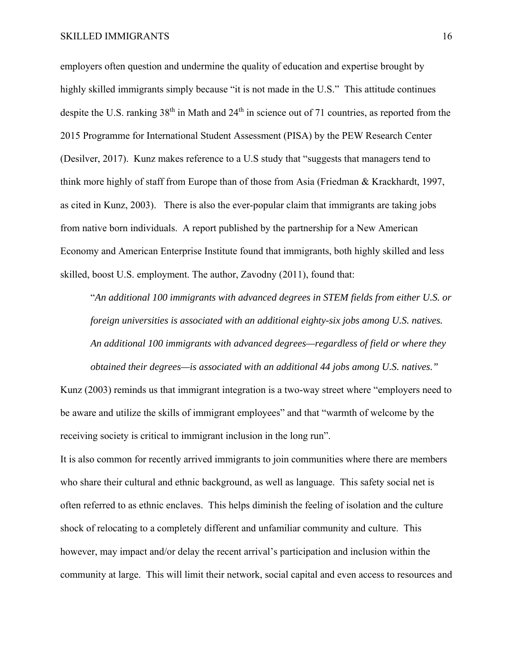employers often question and undermine the quality of education and expertise brought by highly skilled immigrants simply because "it is not made in the U.S." This attitude continues despite the U.S. ranking  $38<sup>th</sup>$  in Math and  $24<sup>th</sup>$  in science out of 71 countries, as reported from the 2015 Programme for International Student Assessment (PISA) by the PEW Research Center (Desilver, 2017). Kunz makes reference to a U.S study that "suggests that managers tend to think more highly of staff from Europe than of those from Asia (Friedman & Krackhardt, 1997, as cited in Kunz, 2003). There is also the ever-popular claim that immigrants are taking jobs from native born individuals. A report published by the partnership for a New American Economy and American Enterprise Institute found that immigrants, both highly skilled and less skilled, boost U.S. employment. The author, Zavodny (2011), found that:

"*An additional 100 immigrants with advanced degrees in STEM fields from either U.S. or foreign universities is associated with an additional eighty-six jobs among U.S. natives. An additional 100 immigrants with advanced degrees—regardless of field or where they obtained their degrees—is associated with an additional 44 jobs among U.S. natives."* 

Kunz (2003) reminds us that immigrant integration is a two-way street where "employers need to be aware and utilize the skills of immigrant employees" and that "warmth of welcome by the receiving society is critical to immigrant inclusion in the long run".

It is also common for recently arrived immigrants to join communities where there are members who share their cultural and ethnic background, as well as language. This safety social net is often referred to as ethnic enclaves. This helps diminish the feeling of isolation and the culture shock of relocating to a completely different and unfamiliar community and culture. This however, may impact and/or delay the recent arrival's participation and inclusion within the community at large. This will limit their network, social capital and even access to resources and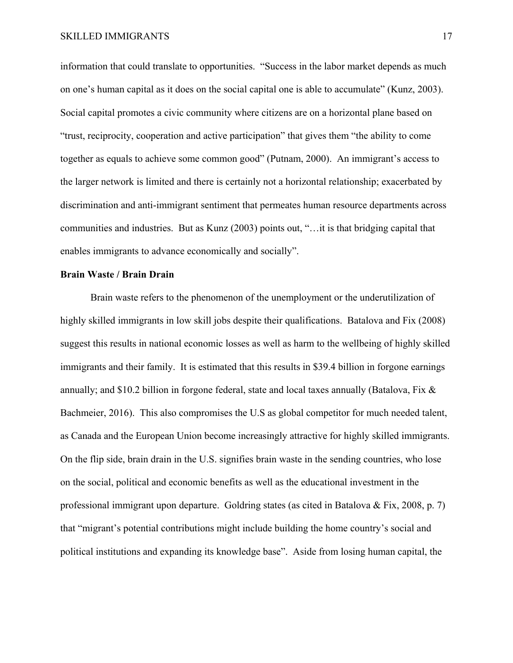information that could translate to opportunities. "Success in the labor market depends as much on one's human capital as it does on the social capital one is able to accumulate" (Kunz, 2003). Social capital promotes a civic community where citizens are on a horizontal plane based on "trust, reciprocity, cooperation and active participation" that gives them "the ability to come together as equals to achieve some common good" (Putnam, 2000). An immigrant's access to the larger network is limited and there is certainly not a horizontal relationship; exacerbated by discrimination and anti-immigrant sentiment that permeates human resource departments across communities and industries. But as Kunz (2003) points out, "…it is that bridging capital that enables immigrants to advance economically and socially".

#### **Brain Waste / Brain Drain**

 Brain waste refers to the phenomenon of the unemployment or the underutilization of highly skilled immigrants in low skill jobs despite their qualifications. Batalova and Fix (2008) suggest this results in national economic losses as well as harm to the wellbeing of highly skilled immigrants and their family. It is estimated that this results in \$39.4 billion in forgone earnings annually; and \$10.2 billion in forgone federal, state and local taxes annually (Batalova, Fix & Bachmeier, 2016). This also compromises the U.S as global competitor for much needed talent, as Canada and the European Union become increasingly attractive for highly skilled immigrants. On the flip side, brain drain in the U.S. signifies brain waste in the sending countries, who lose on the social, political and economic benefits as well as the educational investment in the professional immigrant upon departure. Goldring states (as cited in Batalova & Fix, 2008, p. 7) that "migrant's potential contributions might include building the home country's social and political institutions and expanding its knowledge base". Aside from losing human capital, the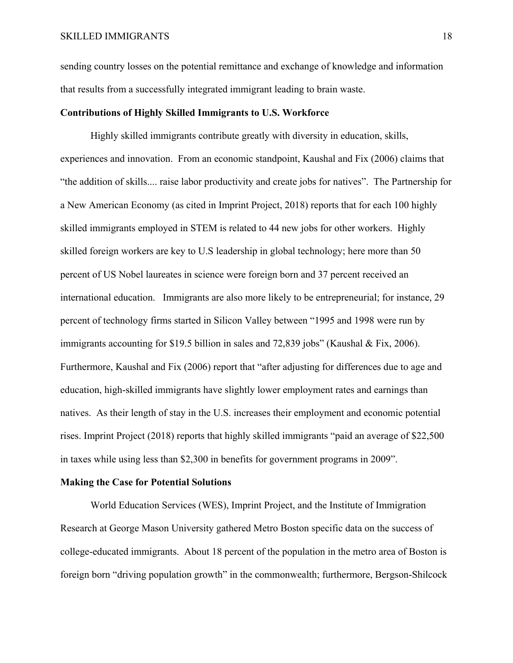sending country losses on the potential remittance and exchange of knowledge and information that results from a successfully integrated immigrant leading to brain waste.

#### **Contributions of Highly Skilled Immigrants to U.S. Workforce**

 Highly skilled immigrants contribute greatly with diversity in education, skills, experiences and innovation. From an economic standpoint, Kaushal and Fix (2006) claims that "the addition of skills.... raise labor productivity and create jobs for natives". The Partnership for a New American Economy (as cited in Imprint Project, 2018) reports that for each 100 highly skilled immigrants employed in STEM is related to 44 new jobs for other workers. Highly skilled foreign workers are key to U.S leadership in global technology; here more than 50 percent of US Nobel laureates in science were foreign born and 37 percent received an international education. Immigrants are also more likely to be entrepreneurial; for instance, 29 percent of technology firms started in Silicon Valley between "1995 and 1998 were run by immigrants accounting for \$19.5 billion in sales and 72,839 jobs" (Kaushal & Fix, 2006). Furthermore, Kaushal and Fix (2006) report that "after adjusting for differences due to age and education, high-skilled immigrants have slightly lower employment rates and earnings than natives. As their length of stay in the U.S. increases their employment and economic potential rises. Imprint Project (2018) reports that highly skilled immigrants "paid an average of \$22,500 in taxes while using less than \$2,300 in benefits for government programs in 2009".

#### **Making the Case for Potential Solutions**

 World Education Services (WES), Imprint Project, and the Institute of Immigration Research at George Mason University gathered Metro Boston specific data on the success of college-educated immigrants. About 18 percent of the population in the metro area of Boston is foreign born "driving population growth" in the commonwealth; furthermore, Bergson-Shilcock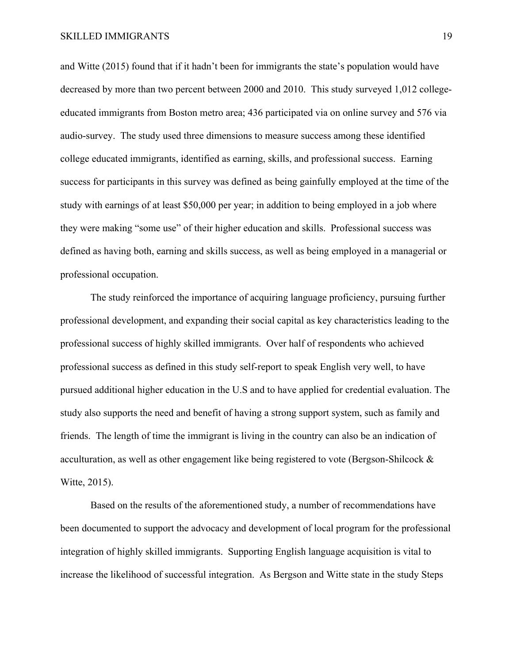and Witte (2015) found that if it hadn't been for immigrants the state's population would have decreased by more than two percent between 2000 and 2010. This study surveyed 1,012 collegeeducated immigrants from Boston metro area; 436 participated via on online survey and 576 via audio-survey. The study used three dimensions to measure success among these identified college educated immigrants, identified as earning, skills, and professional success. Earning success for participants in this survey was defined as being gainfully employed at the time of the study with earnings of at least \$50,000 per year; in addition to being employed in a job where they were making "some use" of their higher education and skills. Professional success was defined as having both, earning and skills success, as well as being employed in a managerial or professional occupation.

The study reinforced the importance of acquiring language proficiency, pursuing further professional development, and expanding their social capital as key characteristics leading to the professional success of highly skilled immigrants. Over half of respondents who achieved professional success as defined in this study self-report to speak English very well, to have pursued additional higher education in the U.S and to have applied for credential evaluation. The study also supports the need and benefit of having a strong support system, such as family and friends. The length of time the immigrant is living in the country can also be an indication of acculturation, as well as other engagement like being registered to vote (Bergson-Shilcock & Witte, 2015).

Based on the results of the aforementioned study, a number of recommendations have been documented to support the advocacy and development of local program for the professional integration of highly skilled immigrants. Supporting English language acquisition is vital to increase the likelihood of successful integration. As Bergson and Witte state in the study Steps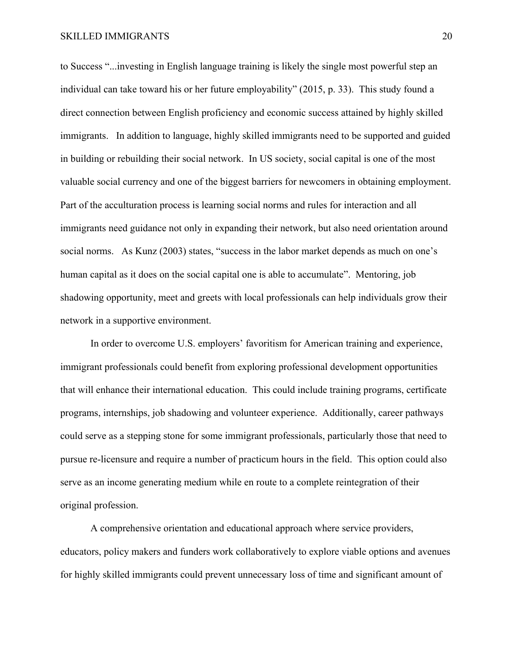to Success "...investing in English language training is likely the single most powerful step an individual can take toward his or her future employability" (2015, p. 33). This study found a direct connection between English proficiency and economic success attained by highly skilled immigrants. In addition to language, highly skilled immigrants need to be supported and guided in building or rebuilding their social network. In US society, social capital is one of the most valuable social currency and one of the biggest barriers for newcomers in obtaining employment. Part of the acculturation process is learning social norms and rules for interaction and all immigrants need guidance not only in expanding their network, but also need orientation around social norms. As Kunz (2003) states, "success in the labor market depends as much on one's human capital as it does on the social capital one is able to accumulate". Mentoring, job shadowing opportunity, meet and greets with local professionals can help individuals grow their network in a supportive environment.

In order to overcome U.S. employers' favoritism for American training and experience, immigrant professionals could benefit from exploring professional development opportunities that will enhance their international education. This could include training programs, certificate programs, internships, job shadowing and volunteer experience. Additionally, career pathways could serve as a stepping stone for some immigrant professionals, particularly those that need to pursue re-licensure and require a number of practicum hours in the field. This option could also serve as an income generating medium while en route to a complete reintegration of their original profession.

A comprehensive orientation and educational approach where service providers, educators, policy makers and funders work collaboratively to explore viable options and avenues for highly skilled immigrants could prevent unnecessary loss of time and significant amount of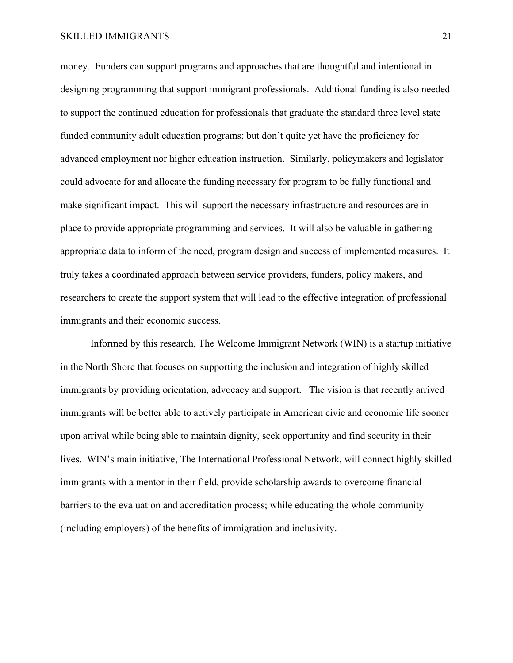#### SKILLED IMMIGRANTS 21

money. Funders can support programs and approaches that are thoughtful and intentional in designing programming that support immigrant professionals. Additional funding is also needed to support the continued education for professionals that graduate the standard three level state funded community adult education programs; but don't quite yet have the proficiency for advanced employment nor higher education instruction. Similarly, policymakers and legislator could advocate for and allocate the funding necessary for program to be fully functional and make significant impact. This will support the necessary infrastructure and resources are in place to provide appropriate programming and services. It will also be valuable in gathering appropriate data to inform of the need, program design and success of implemented measures. It truly takes a coordinated approach between service providers, funders, policy makers, and researchers to create the support system that will lead to the effective integration of professional immigrants and their economic success.

 Informed by this research, The Welcome Immigrant Network (WIN) is a startup initiative in the North Shore that focuses on supporting the inclusion and integration of highly skilled immigrants by providing orientation, advocacy and support. The vision is that recently arrived immigrants will be better able to actively participate in American civic and economic life sooner upon arrival while being able to maintain dignity, seek opportunity and find security in their lives. WIN's main initiative, The International Professional Network, will connect highly skilled immigrants with a mentor in their field, provide scholarship awards to overcome financial barriers to the evaluation and accreditation process; while educating the whole community (including employers) of the benefits of immigration and inclusivity.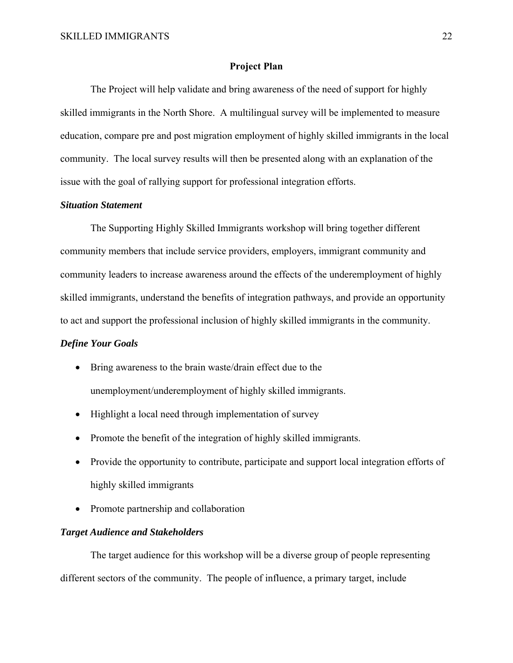#### **Project Plan**

 The Project will help validate and bring awareness of the need of support for highly skilled immigrants in the North Shore. A multilingual survey will be implemented to measure education, compare pre and post migration employment of highly skilled immigrants in the local community. The local survey results will then be presented along with an explanation of the issue with the goal of rallying support for professional integration efforts.

#### *Situation Statement*

The Supporting Highly Skilled Immigrants workshop will bring together different community members that include service providers, employers, immigrant community and community leaders to increase awareness around the effects of the underemployment of highly skilled immigrants, understand the benefits of integration pathways, and provide an opportunity to act and support the professional inclusion of highly skilled immigrants in the community.

#### *Define Your Goals*

- Bring awareness to the brain waste/drain effect due to the unemployment/underemployment of highly skilled immigrants.
- Highlight a local need through implementation of survey
- Promote the benefit of the integration of highly skilled immigrants.
- Provide the opportunity to contribute, participate and support local integration efforts of highly skilled immigrants
- Promote partnership and collaboration

#### *Target Audience and Stakeholders*

The target audience for this workshop will be a diverse group of people representing different sectors of the community. The people of influence, a primary target, include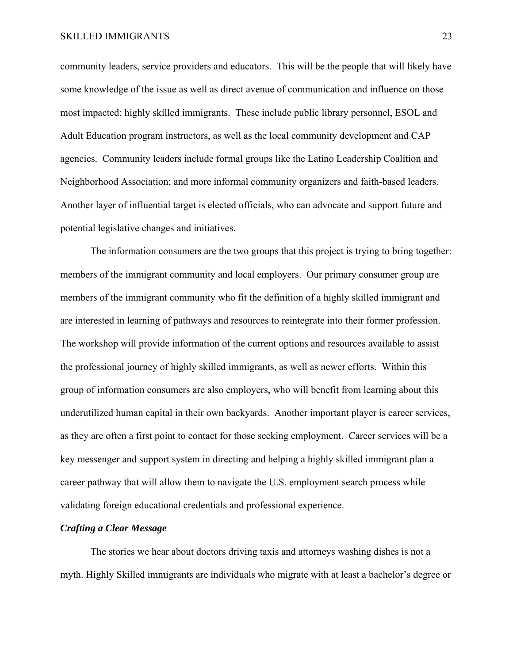community leaders, service providers and educators. This will be the people that will likely have some knowledge of the issue as well as direct avenue of communication and influence on those most impacted: highly skilled immigrants. These include public library personnel, ESOL and Adult Education program instructors, as well as the local community development and CAP agencies. Community leaders include formal groups like the Latino Leadership Coalition and Neighborhood Association; and more informal community organizers and faith-based leaders. Another layer of influential target is elected officials, who can advocate and support future and potential legislative changes and initiatives.

 The information consumers are the two groups that this project is trying to bring together: members of the immigrant community and local employers. Our primary consumer group are members of the immigrant community who fit the definition of a highly skilled immigrant and are interested in learning of pathways and resources to reintegrate into their former profession. The workshop will provide information of the current options and resources available to assist the professional journey of highly skilled immigrants, as well as newer efforts. Within this group of information consumers are also employers, who will benefit from learning about this underutilized human capital in their own backyards. Another important player is career services, as they are often a first point to contact for those seeking employment. Career services will be a key messenger and support system in directing and helping a highly skilled immigrant plan a career pathway that will allow them to navigate the U.S. employment search process while validating foreign educational credentials and professional experience.

#### *Crafting a Clear Message*

The stories we hear about doctors driving taxis and attorneys washing dishes is not a myth. Highly Skilled immigrants are individuals who migrate with at least a bachelor's degree or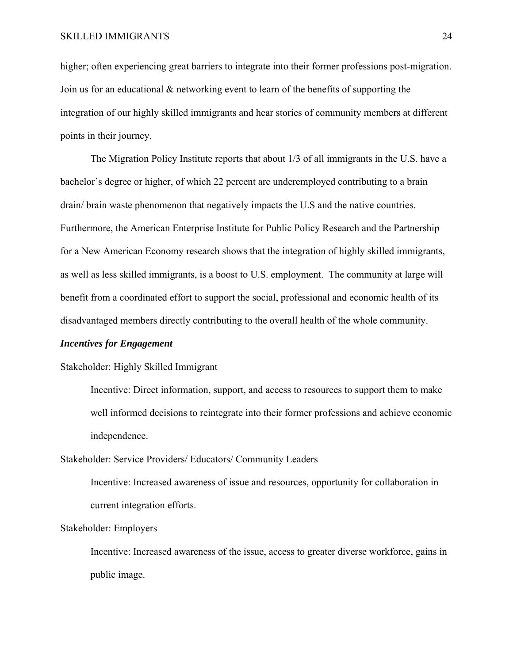higher; often experiencing great barriers to integrate into their former professions post-migration. Join us for an educational & networking event to learn of the benefits of supporting the integration of our highly skilled immigrants and hear stories of community members at different points in their journey.

 The Migration Policy Institute reports that about 1/3 of all immigrants in the U.S. have a bachelor's degree or higher, of which 22 percent are underemployed contributing to a brain drain/ brain waste phenomenon that negatively impacts the U.S and the native countries. Furthermore, the American Enterprise Institute for Public Policy Research and the Partnership for a New American Economy research shows that the integration of highly skilled immigrants, as well as less skilled immigrants, is a boost to U.S. employment. The community at large will benefit from a coordinated effort to support the social, professional and economic health of its disadvantaged members directly contributing to the overall health of the whole community.

#### *Incentives for Engagement*

#### Stakeholder: Highly Skilled Immigrant

Incentive: Direct information, support, and access to resources to support them to make well informed decisions to reintegrate into their former professions and achieve economic independence.

Stakeholder: Service Providers/ Educators/ Community Leaders

Incentive: Increased awareness of issue and resources, opportunity for collaboration in current integration efforts.

#### Stakeholder: Employers

Incentive: Increased awareness of the issue, access to greater diverse workforce, gains in public image.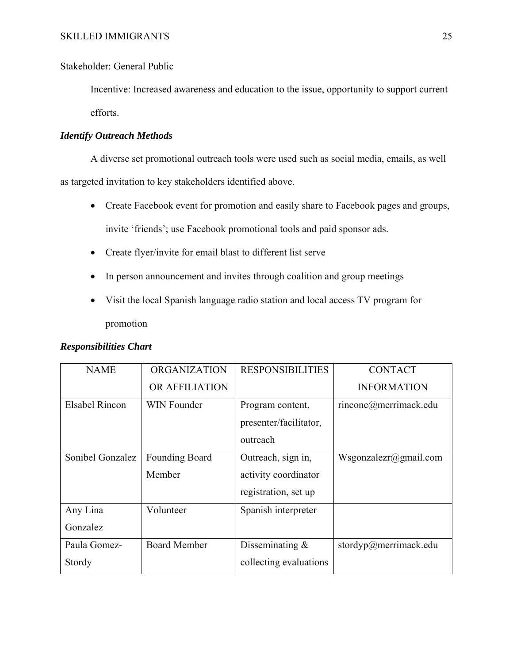# Stakeholder: General Public

Incentive: Increased awareness and education to the issue, opportunity to support current efforts.

### *Identify Outreach Methods*

A diverse set promotional outreach tools were used such as social media, emails, as well as targeted invitation to key stakeholders identified above.

- Create Facebook event for promotion and easily share to Facebook pages and groups, invite 'friends'; use Facebook promotional tools and paid sponsor ads.
- Create flyer/invite for email blast to different list serve
- In person announcement and invites through coalition and group meetings
- Visit the local Spanish language radio station and local access TV program for promotion

| <b>Responsibilities Chart</b> |  |  |
|-------------------------------|--|--|
|-------------------------------|--|--|

| <b>NAME</b>      | <b>ORGANIZATION</b>   | <b>RESPONSIBILITIES</b> | <b>CONTACT</b>        |
|------------------|-----------------------|-------------------------|-----------------------|
|                  | OR AFFILIATION        |                         | <b>INFORMATION</b>    |
| Elsabel Rincon   | <b>WIN Founder</b>    | Program content,        | rincone@merrimack.edu |
|                  |                       | presenter/facilitator,  |                       |
|                  |                       | outreach                |                       |
| Sonibel Gonzalez | <b>Founding Board</b> | Outreach, sign in,      | Wsgonzalezr@gmail.com |
|                  | Member                | activity coordinator    |                       |
|                  |                       | registration, set up    |                       |
| Any Lina         | Volunteer             | Spanish interpreter     |                       |
| Gonzalez         |                       |                         |                       |
| Paula Gomez-     | <b>Board Member</b>   | Disseminating $&$       | stordyp@merrimack.edu |
| Stordy           |                       | collecting evaluations  |                       |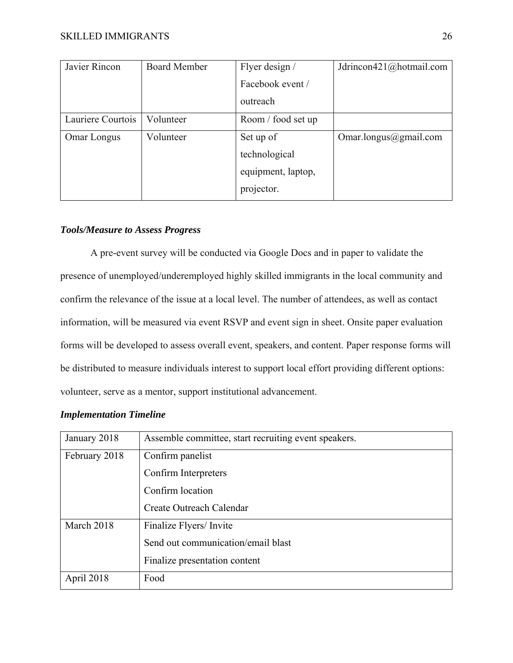| Javier Rincon      | <b>Board Member</b> | Flyer design /     | Jdrincon421@hotmail.com |
|--------------------|---------------------|--------------------|-------------------------|
|                    |                     | Facebook event /   |                         |
|                    |                     | outreach           |                         |
| Lauriere Courtois  | Volunteer           | Room / food set up |                         |
| <b>Omar Longus</b> | Volunteer           | Set up of          | Omar.longus@gmail.com   |
|                    |                     | technological      |                         |
|                    |                     | equipment, laptop, |                         |
|                    |                     | projector.         |                         |

#### *Tools/Measure to Assess Progress*

 A pre-event survey will be conducted via Google Docs and in paper to validate the presence of unemployed/underemployed highly skilled immigrants in the local community and confirm the relevance of the issue at a local level. The number of attendees, as well as contact information, will be measured via event RSVP and event sign in sheet. Onsite paper evaluation forms will be developed to assess overall event, speakers, and content. Paper response forms will be distributed to measure individuals interest to support local effort providing different options: volunteer, serve as a mentor, support institutional advancement.

#### *Implementation Timeline*

| January 2018  | Assemble committee, start recruiting event speakers. |
|---------------|------------------------------------------------------|
| February 2018 | Confirm panelist                                     |
|               | Confirm Interpreters                                 |
|               | Confirm location                                     |
|               | Create Outreach Calendar                             |
| March 2018    | Finalize Flyers/Invite                               |
|               | Send out communication/email blast                   |
|               | Finalize presentation content                        |
| April 2018    | Food                                                 |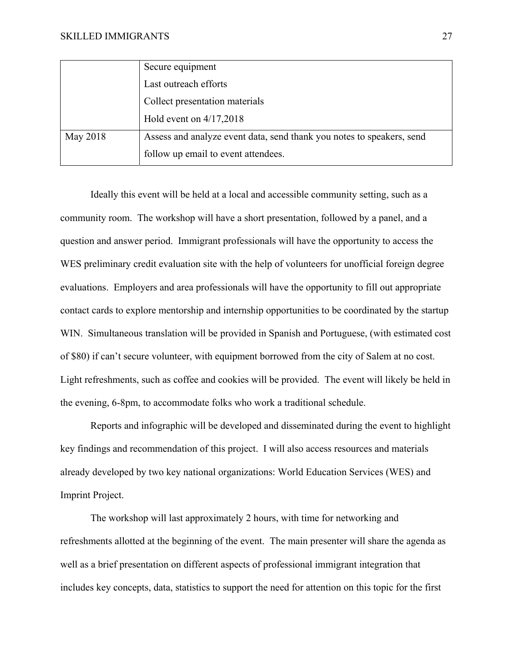|          | Secure equipment                                                      |
|----------|-----------------------------------------------------------------------|
|          | Last outreach efforts                                                 |
|          | Collect presentation materials                                        |
|          | Hold event on $4/17,2018$                                             |
| May 2018 | Assess and analyze event data, send thank you notes to speakers, send |
|          | follow up email to event attendees.                                   |

 Ideally this event will be held at a local and accessible community setting, such as a community room. The workshop will have a short presentation, followed by a panel, and a question and answer period. Immigrant professionals will have the opportunity to access the WES preliminary credit evaluation site with the help of volunteers for unofficial foreign degree evaluations. Employers and area professionals will have the opportunity to fill out appropriate contact cards to explore mentorship and internship opportunities to be coordinated by the startup WIN. Simultaneous translation will be provided in Spanish and Portuguese, (with estimated cost of \$80) if can't secure volunteer, with equipment borrowed from the city of Salem at no cost. Light refreshments, such as coffee and cookies will be provided. The event will likely be held in the evening, 6-8pm, to accommodate folks who work a traditional schedule.

 Reports and infographic will be developed and disseminated during the event to highlight key findings and recommendation of this project. I will also access resources and materials already developed by two key national organizations: World Education Services (WES) and Imprint Project.

 The workshop will last approximately 2 hours, with time for networking and refreshments allotted at the beginning of the event. The main presenter will share the agenda as well as a brief presentation on different aspects of professional immigrant integration that includes key concepts, data, statistics to support the need for attention on this topic for the first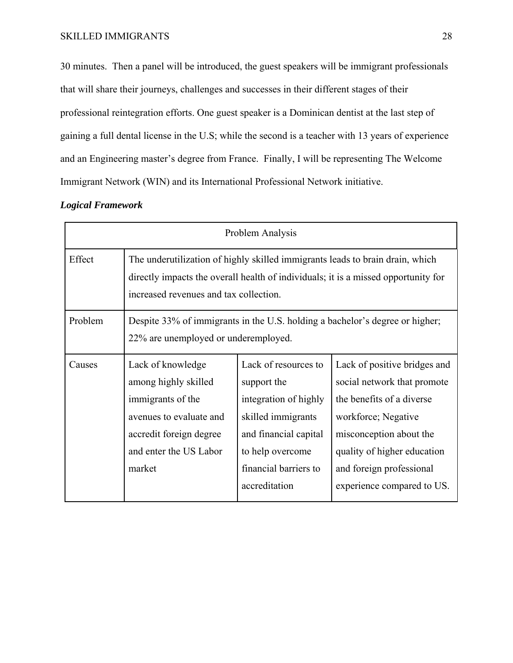30 minutes. Then a panel will be introduced, the guest speakers will be immigrant professionals that will share their journeys, challenges and successes in their different stages of their professional reintegration efforts. One guest speaker is a Dominican dentist at the last step of gaining a full dental license in the U.S; while the second is a teacher with 13 years of experience and an Engineering master's degree from France. Finally, I will be representing The Welcome Immigrant Network (WIN) and its International Professional Network initiative.

#### *Logical Framework*

| Problem Analysis |                                                                                                                                                                                                               |                                                                                                                                                                           |                                                                                                                                                                                                                                     |
|------------------|---------------------------------------------------------------------------------------------------------------------------------------------------------------------------------------------------------------|---------------------------------------------------------------------------------------------------------------------------------------------------------------------------|-------------------------------------------------------------------------------------------------------------------------------------------------------------------------------------------------------------------------------------|
| Effect           | The underutilization of highly skilled immigrants leads to brain drain, which<br>directly impacts the overall health of individuals; it is a missed opportunity for<br>increased revenues and tax collection. |                                                                                                                                                                           |                                                                                                                                                                                                                                     |
| Problem          | Despite 33% of immigrants in the U.S. holding a bachelor's degree or higher;<br>22% are unemployed or underemployed.                                                                                          |                                                                                                                                                                           |                                                                                                                                                                                                                                     |
| Causes           | Lack of knowledge<br>among highly skilled<br>immigrants of the<br>avenues to evaluate and<br>accredit foreign degree<br>and enter the US Labor<br>market                                                      | Lack of resources to<br>support the<br>integration of highly<br>skilled immigrants<br>and financial capital<br>to help overcome<br>financial barriers to<br>accreditation | Lack of positive bridges and<br>social network that promote<br>the benefits of a diverse<br>workforce; Negative<br>misconception about the<br>quality of higher education<br>and foreign professional<br>experience compared to US. |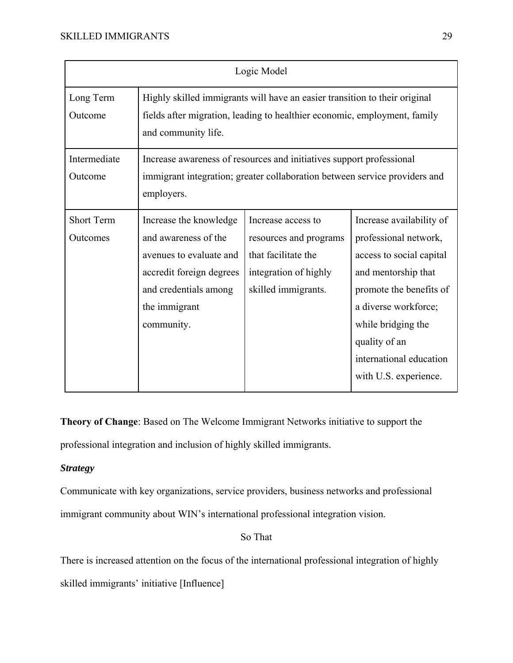| Logic Model                   |                                                                                                                                                                                |                                                                                                                                                    |                                                                                                                                                                                                                                                    |
|-------------------------------|--------------------------------------------------------------------------------------------------------------------------------------------------------------------------------|----------------------------------------------------------------------------------------------------------------------------------------------------|----------------------------------------------------------------------------------------------------------------------------------------------------------------------------------------------------------------------------------------------------|
| Long Term<br>Outcome          | Highly skilled immigrants will have an easier transition to their original<br>fields after migration, leading to healthier economic, employment, family<br>and community life. |                                                                                                                                                    |                                                                                                                                                                                                                                                    |
| Intermediate<br>Outcome       | employers.                                                                                                                                                                     | Increase awareness of resources and initiatives support professional<br>immigrant integration; greater collaboration between service providers and |                                                                                                                                                                                                                                                    |
| <b>Short Term</b><br>Outcomes | Increase the knowledge<br>and awareness of the<br>avenues to evaluate and<br>accredit foreign degrees<br>and credentials among<br>the immigrant<br>community.                  | Increase access to<br>resources and programs<br>that facilitate the<br>integration of highly<br>skilled immigrants.                                | Increase availability of<br>professional network,<br>access to social capital<br>and mentorship that<br>promote the benefits of<br>a diverse workforce;<br>while bridging the<br>quality of an<br>international education<br>with U.S. experience. |

**Theory of Change**: Based on The Welcome Immigrant Networks initiative to support the professional integration and inclusion of highly skilled immigrants.

## *Strategy*

Communicate with key organizations, service providers, business networks and professional immigrant community about WIN's international professional integration vision.

So That

There is increased attention on the focus of the international professional integration of highly

skilled immigrants' initiative [Influence]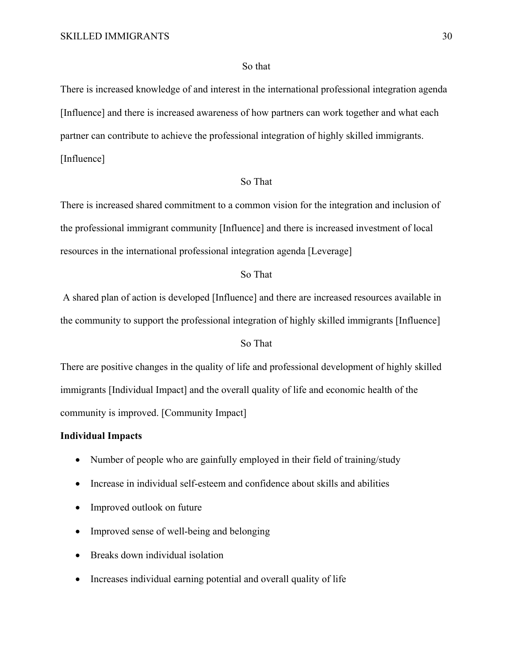#### So that

There is increased knowledge of and interest in the international professional integration agenda [Influence] and there is increased awareness of how partners can work together and what each partner can contribute to achieve the professional integration of highly skilled immigrants. [Influence]

#### So That

There is increased shared commitment to a common vision for the integration and inclusion of the professional immigrant community [Influence] and there is increased investment of local resources in the international professional integration agenda [Leverage]

#### So That

 A shared plan of action is developed [Influence] and there are increased resources available in the community to support the professional integration of highly skilled immigrants [Influence]

#### So That

There are positive changes in the quality of life and professional development of highly skilled immigrants [Individual Impact] and the overall quality of life and economic health of the community is improved. [Community Impact]

#### **Individual Impacts**

- Number of people who are gainfully employed in their field of training/study
- Increase in individual self-esteem and confidence about skills and abilities
- Improved outlook on future
- Improved sense of well-being and belonging
- Breaks down individual isolation
- Increases individual earning potential and overall quality of life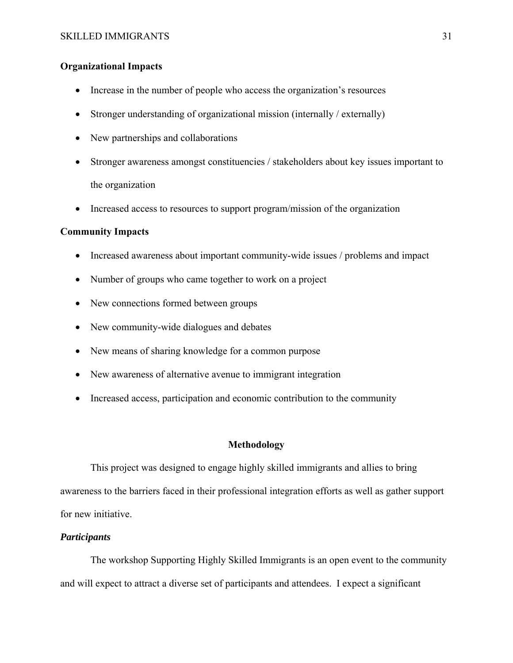#### **Organizational Impacts**

- Increase in the number of people who access the organization's resources
- Stronger understanding of organizational mission (internally / externally)
- New partnerships and collaborations
- Stronger awareness amongst constituencies / stakeholders about key issues important to the organization
- Increased access to resources to support program/mission of the organization

#### **Community Impacts**

- Increased awareness about important community-wide issues / problems and impact
- Number of groups who came together to work on a project
- New connections formed between groups
- New community-wide dialogues and debates
- New means of sharing knowledge for a common purpose
- New awareness of alternative avenue to immigrant integration
- Increased access, participation and economic contribution to the community

#### **Methodology**

 This project was designed to engage highly skilled immigrants and allies to bring awareness to the barriers faced in their professional integration efforts as well as gather support for new initiative.

#### *Participants*

 The workshop Supporting Highly Skilled Immigrants is an open event to the community and will expect to attract a diverse set of participants and attendees. I expect a significant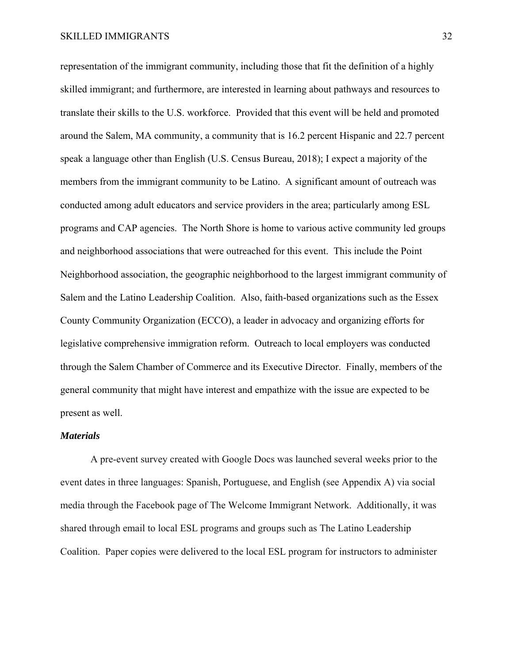representation of the immigrant community, including those that fit the definition of a highly skilled immigrant; and furthermore, are interested in learning about pathways and resources to translate their skills to the U.S. workforce. Provided that this event will be held and promoted around the Salem, MA community, a community that is 16.2 percent Hispanic and 22.7 percent speak a language other than English (U.S. Census Bureau, 2018); I expect a majority of the members from the immigrant community to be Latino. A significant amount of outreach was conducted among adult educators and service providers in the area; particularly among ESL programs and CAP agencies. The North Shore is home to various active community led groups and neighborhood associations that were outreached for this event. This include the Point Neighborhood association, the geographic neighborhood to the largest immigrant community of Salem and the Latino Leadership Coalition. Also, faith-based organizations such as the Essex County Community Organization (ECCO), a leader in advocacy and organizing efforts for legislative comprehensive immigration reform. Outreach to local employers was conducted through the Salem Chamber of Commerce and its Executive Director. Finally, members of the general community that might have interest and empathize with the issue are expected to be present as well.

#### *Materials*

 A pre-event survey created with Google Docs was launched several weeks prior to the event dates in three languages: Spanish, Portuguese, and English (see Appendix A) via social media through the Facebook page of The Welcome Immigrant Network. Additionally, it was shared through email to local ESL programs and groups such as The Latino Leadership Coalition. Paper copies were delivered to the local ESL program for instructors to administer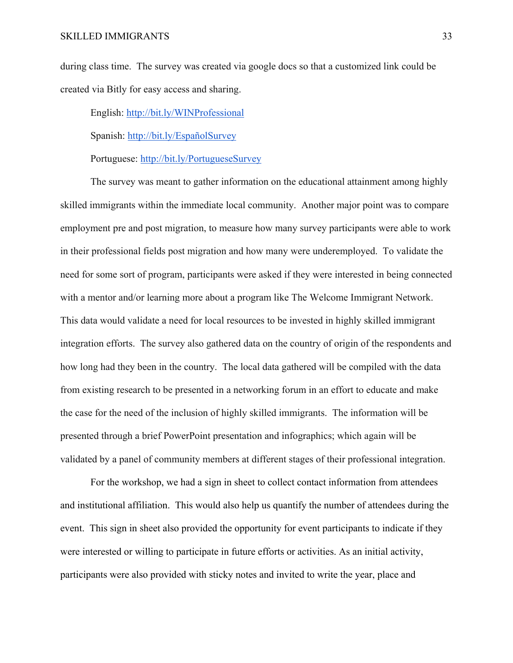during class time. The survey was created via google docs so that a customized link could be created via Bitly for easy access and sharing.

English: http://bit.ly/WINProfessional

Spanish: http://bit.ly/EspañolSurvey

Portuguese: http://bit.ly/PortugueseSurvey

The survey was meant to gather information on the educational attainment among highly skilled immigrants within the immediate local community. Another major point was to compare employment pre and post migration, to measure how many survey participants were able to work in their professional fields post migration and how many were underemployed. To validate the need for some sort of program, participants were asked if they were interested in being connected with a mentor and/or learning more about a program like The Welcome Immigrant Network. This data would validate a need for local resources to be invested in highly skilled immigrant integration efforts. The survey also gathered data on the country of origin of the respondents and how long had they been in the country. The local data gathered will be compiled with the data from existing research to be presented in a networking forum in an effort to educate and make the case for the need of the inclusion of highly skilled immigrants. The information will be presented through a brief PowerPoint presentation and infographics; which again will be validated by a panel of community members at different stages of their professional integration.

For the workshop, we had a sign in sheet to collect contact information from attendees and institutional affiliation. This would also help us quantify the number of attendees during the event. This sign in sheet also provided the opportunity for event participants to indicate if they were interested or willing to participate in future efforts or activities. As an initial activity, participants were also provided with sticky notes and invited to write the year, place and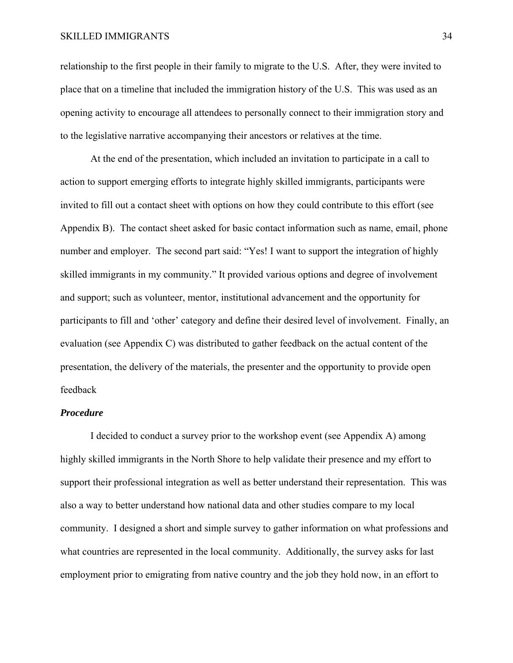#### SKILLED IMMIGRANTS 34

relationship to the first people in their family to migrate to the U.S. After, they were invited to place that on a timeline that included the immigration history of the U.S. This was used as an opening activity to encourage all attendees to personally connect to their immigration story and to the legislative narrative accompanying their ancestors or relatives at the time.

At the end of the presentation, which included an invitation to participate in a call to action to support emerging efforts to integrate highly skilled immigrants, participants were invited to fill out a contact sheet with options on how they could contribute to this effort (see Appendix B). The contact sheet asked for basic contact information such as name, email, phone number and employer. The second part said: "Yes! I want to support the integration of highly skilled immigrants in my community." It provided various options and degree of involvement and support; such as volunteer, mentor, institutional advancement and the opportunity for participants to fill and 'other' category and define their desired level of involvement. Finally, an evaluation (see Appendix C) was distributed to gather feedback on the actual content of the presentation, the delivery of the materials, the presenter and the opportunity to provide open feedback

#### *Procedure*

I decided to conduct a survey prior to the workshop event (see Appendix A) among highly skilled immigrants in the North Shore to help validate their presence and my effort to support their professional integration as well as better understand their representation. This was also a way to better understand how national data and other studies compare to my local community. I designed a short and simple survey to gather information on what professions and what countries are represented in the local community. Additionally, the survey asks for last employment prior to emigrating from native country and the job they hold now, in an effort to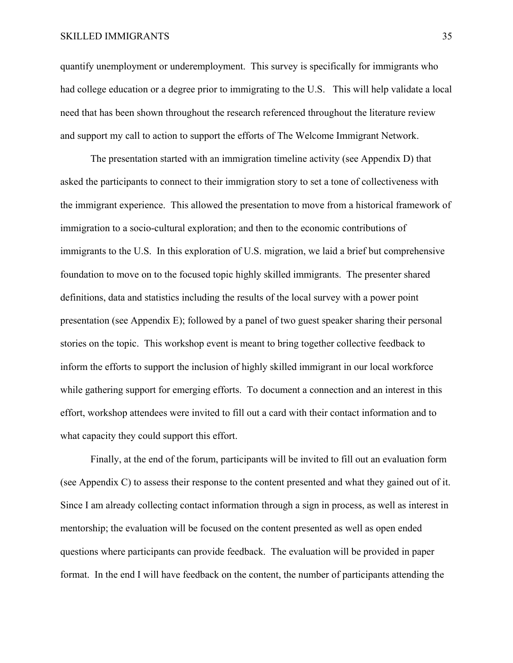#### SKILLED IMMIGRANTS 35

quantify unemployment or underemployment. This survey is specifically for immigrants who had college education or a degree prior to immigrating to the U.S. This will help validate a local need that has been shown throughout the research referenced throughout the literature review and support my call to action to support the efforts of The Welcome Immigrant Network.

The presentation started with an immigration timeline activity (see Appendix D) that asked the participants to connect to their immigration story to set a tone of collectiveness with the immigrant experience. This allowed the presentation to move from a historical framework of immigration to a socio-cultural exploration; and then to the economic contributions of immigrants to the U.S. In this exploration of U.S. migration, we laid a brief but comprehensive foundation to move on to the focused topic highly skilled immigrants. The presenter shared definitions, data and statistics including the results of the local survey with a power point presentation (see Appendix E); followed by a panel of two guest speaker sharing their personal stories on the topic. This workshop event is meant to bring together collective feedback to inform the efforts to support the inclusion of highly skilled immigrant in our local workforce while gathering support for emerging efforts. To document a connection and an interest in this effort, workshop attendees were invited to fill out a card with their contact information and to what capacity they could support this effort.

 Finally, at the end of the forum, participants will be invited to fill out an evaluation form (see Appendix C) to assess their response to the content presented and what they gained out of it. Since I am already collecting contact information through a sign in process, as well as interest in mentorship; the evaluation will be focused on the content presented as well as open ended questions where participants can provide feedback. The evaluation will be provided in paper format. In the end I will have feedback on the content, the number of participants attending the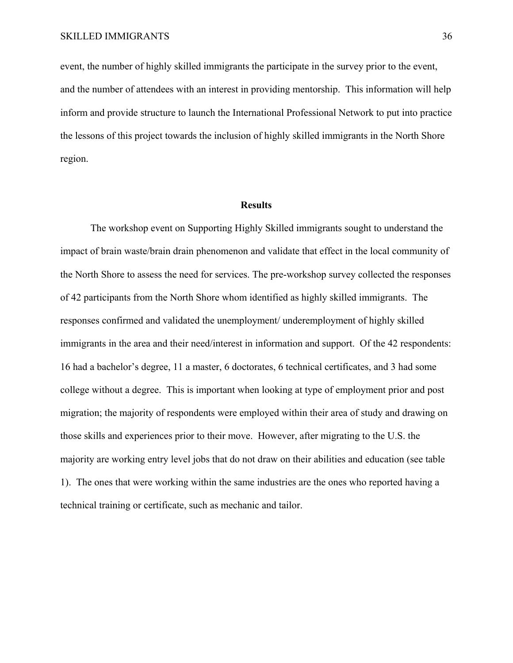event, the number of highly skilled immigrants the participate in the survey prior to the event, and the number of attendees with an interest in providing mentorship. This information will help inform and provide structure to launch the International Professional Network to put into practice the lessons of this project towards the inclusion of highly skilled immigrants in the North Shore region.

#### **Results**

 The workshop event on Supporting Highly Skilled immigrants sought to understand the impact of brain waste/brain drain phenomenon and validate that effect in the local community of the North Shore to assess the need for services. The pre-workshop survey collected the responses of 42 participants from the North Shore whom identified as highly skilled immigrants. The responses confirmed and validated the unemployment/ underemployment of highly skilled immigrants in the area and their need/interest in information and support. Of the 42 respondents: 16 had a bachelor's degree, 11 a master, 6 doctorates, 6 technical certificates, and 3 had some college without a degree. This is important when looking at type of employment prior and post migration; the majority of respondents were employed within their area of study and drawing on those skills and experiences prior to their move. However, after migrating to the U.S. the majority are working entry level jobs that do not draw on their abilities and education (see table 1). The ones that were working within the same industries are the ones who reported having a technical training or certificate, such as mechanic and tailor.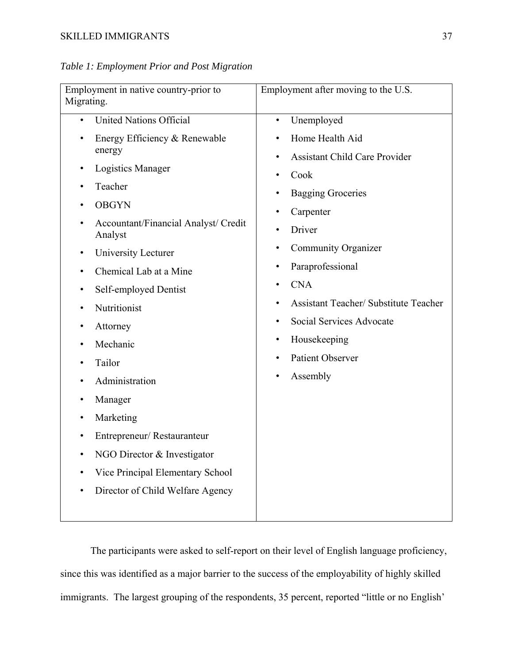*Table 1: Employment Prior and Post Migration* 

| Employment in native country-prior to<br>Migrating.                                                                                                                                                                                                                                                                                                                                                 | Employment after moving to the U.S.                                                                                                                                                                                                                                                           |
|-----------------------------------------------------------------------------------------------------------------------------------------------------------------------------------------------------------------------------------------------------------------------------------------------------------------------------------------------------------------------------------------------------|-----------------------------------------------------------------------------------------------------------------------------------------------------------------------------------------------------------------------------------------------------------------------------------------------|
| <b>United Nations Official</b><br>$\bullet$<br>Energy Efficiency & Renewable<br>energy<br><b>Logistics Manager</b><br>Teacher                                                                                                                                                                                                                                                                       | Unemployed<br>$\bullet$<br>Home Health Aid<br><b>Assistant Child Care Provider</b><br>٠<br>Cook<br>٠                                                                                                                                                                                          |
| <b>OBGYN</b><br>Accountant/Financial Analyst/ Credit<br>Analyst<br>University Lecturer<br>٠<br>Chemical Lab at a Mine<br>٠<br>Self-employed Dentist<br>٠<br>Nutritionist<br>Attorney<br>٠<br>Mechanic<br>٠<br>Tailor<br>Administration<br>Manager<br>Marketing<br>Entrepreneur/Restauranteur<br>NGO Director & Investigator<br>Vice Principal Elementary School<br>Director of Child Welfare Agency | <b>Bagging Groceries</b><br>٠<br>Carpenter<br>Driver<br>٠<br><b>Community Organizer</b><br>٠<br>Paraprofessional<br>٠<br><b>CNA</b><br>٠<br><b>Assistant Teacher/ Substitute Teacher</b><br>Social Services Advocate<br>Housekeeping<br>٠<br><b>Patient Observer</b><br>Assembly<br>$\bullet$ |
|                                                                                                                                                                                                                                                                                                                                                                                                     |                                                                                                                                                                                                                                                                                               |

 The participants were asked to self-report on their level of English language proficiency, since this was identified as a major barrier to the success of the employability of highly skilled immigrants. The largest grouping of the respondents, 35 percent, reported "little or no English'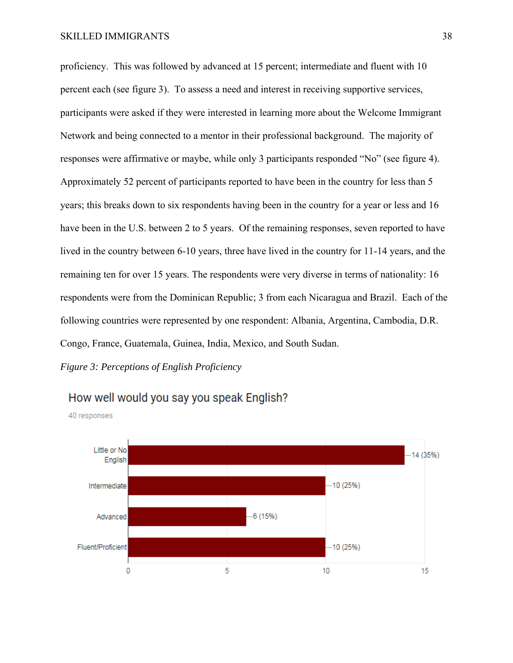proficiency. This was followed by advanced at 15 percent; intermediate and fluent with 10 percent each (see figure 3). To assess a need and interest in receiving supportive services, participants were asked if they were interested in learning more about the Welcome Immigrant Network and being connected to a mentor in their professional background. The majority of responses were affirmative or maybe, while only 3 participants responded "No" (see figure 4). Approximately 52 percent of participants reported to have been in the country for less than 5 years; this breaks down to six respondents having been in the country for a year or less and 16 have been in the U.S. between 2 to 5 years. Of the remaining responses, seven reported to have lived in the country between 6-10 years, three have lived in the country for 11-14 years, and the remaining ten for over 15 years. The respondents were very diverse in terms of nationality: 16 respondents were from the Dominican Republic; 3 from each Nicaragua and Brazil. Each of the following countries were represented by one respondent: Albania, Argentina, Cambodia, D.R. Congo, France, Guatemala, Guinea, India, Mexico, and South Sudan.

*Figure 3: Perceptions of English Proficiency* 



# How well would you say you speak English?

40 responses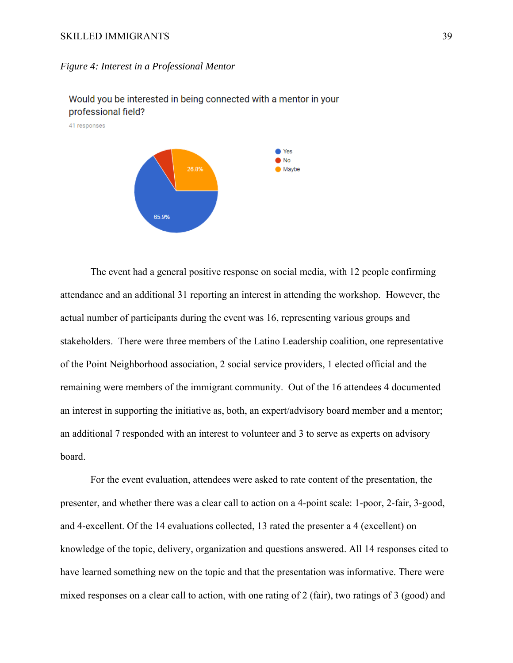#### SKILLED IMMIGRANTS 39

#### *Figure 4: Interest in a Professional Mentor*



Would you be interested in being connected with a mentor in your professional field?

The event had a general positive response on social media, with 12 people confirming attendance and an additional 31 reporting an interest in attending the workshop. However, the actual number of participants during the event was 16, representing various groups and stakeholders. There were three members of the Latino Leadership coalition, one representative of the Point Neighborhood association, 2 social service providers, 1 elected official and the remaining were members of the immigrant community. Out of the 16 attendees 4 documented an interest in supporting the initiative as, both, an expert/advisory board member and a mentor; an additional 7 responded with an interest to volunteer and 3 to serve as experts on advisory board.

 For the event evaluation, attendees were asked to rate content of the presentation, the presenter, and whether there was a clear call to action on a 4-point scale: 1-poor, 2-fair, 3-good, and 4-excellent. Of the 14 evaluations collected, 13 rated the presenter a 4 (excellent) on knowledge of the topic, delivery, organization and questions answered. All 14 responses cited to have learned something new on the topic and that the presentation was informative. There were mixed responses on a clear call to action, with one rating of 2 (fair), two ratings of 3 (good) and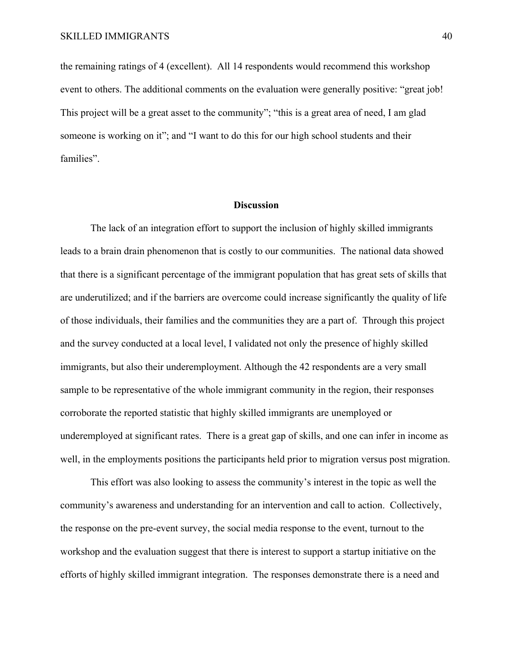the remaining ratings of 4 (excellent). All 14 respondents would recommend this workshop event to others. The additional comments on the evaluation were generally positive: "great job! This project will be a great asset to the community"; "this is a great area of need, I am glad someone is working on it"; and "I want to do this for our high school students and their families".

#### **Discussion**

 The lack of an integration effort to support the inclusion of highly skilled immigrants leads to a brain drain phenomenon that is costly to our communities. The national data showed that there is a significant percentage of the immigrant population that has great sets of skills that are underutilized; and if the barriers are overcome could increase significantly the quality of life of those individuals, their families and the communities they are a part of. Through this project and the survey conducted at a local level, I validated not only the presence of highly skilled immigrants, but also their underemployment. Although the 42 respondents are a very small sample to be representative of the whole immigrant community in the region, their responses corroborate the reported statistic that highly skilled immigrants are unemployed or underemployed at significant rates. There is a great gap of skills, and one can infer in income as well, in the employments positions the participants held prior to migration versus post migration.

 This effort was also looking to assess the community's interest in the topic as well the community's awareness and understanding for an intervention and call to action. Collectively, the response on the pre-event survey, the social media response to the event, turnout to the workshop and the evaluation suggest that there is interest to support a startup initiative on the efforts of highly skilled immigrant integration. The responses demonstrate there is a need and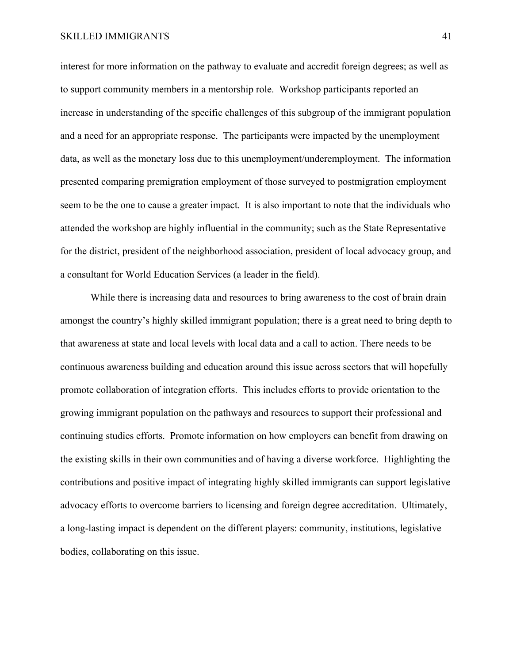interest for more information on the pathway to evaluate and accredit foreign degrees; as well as to support community members in a mentorship role. Workshop participants reported an increase in understanding of the specific challenges of this subgroup of the immigrant population and a need for an appropriate response. The participants were impacted by the unemployment data, as well as the monetary loss due to this unemployment/underemployment. The information presented comparing premigration employment of those surveyed to postmigration employment seem to be the one to cause a greater impact. It is also important to note that the individuals who attended the workshop are highly influential in the community; such as the State Representative for the district, president of the neighborhood association, president of local advocacy group, and a consultant for World Education Services (a leader in the field).

While there is increasing data and resources to bring awareness to the cost of brain drain amongst the country's highly skilled immigrant population; there is a great need to bring depth to that awareness at state and local levels with local data and a call to action. There needs to be continuous awareness building and education around this issue across sectors that will hopefully promote collaboration of integration efforts. This includes efforts to provide orientation to the growing immigrant population on the pathways and resources to support their professional and continuing studies efforts. Promote information on how employers can benefit from drawing on the existing skills in their own communities and of having a diverse workforce. Highlighting the contributions and positive impact of integrating highly skilled immigrants can support legislative advocacy efforts to overcome barriers to licensing and foreign degree accreditation. Ultimately, a long-lasting impact is dependent on the different players: community, institutions, legislative bodies, collaborating on this issue.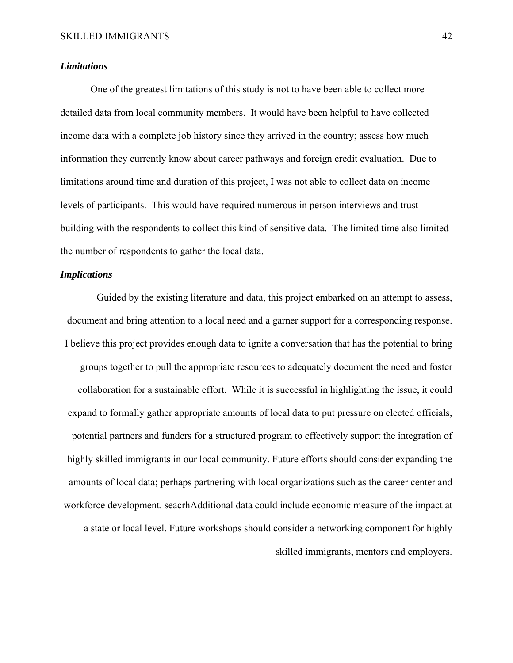#### *Limitations*

 One of the greatest limitations of this study is not to have been able to collect more detailed data from local community members. It would have been helpful to have collected income data with a complete job history since they arrived in the country; assess how much information they currently know about career pathways and foreign credit evaluation. Due to limitations around time and duration of this project, I was not able to collect data on income levels of participants. This would have required numerous in person interviews and trust building with the respondents to collect this kind of sensitive data. The limited time also limited the number of respondents to gather the local data.

#### *Implications*

 Guided by the existing literature and data, this project embarked on an attempt to assess, document and bring attention to a local need and a garner support for a corresponding response. I believe this project provides enough data to ignite a conversation that has the potential to bring groups together to pull the appropriate resources to adequately document the need and foster collaboration for a sustainable effort. While it is successful in highlighting the issue, it could expand to formally gather appropriate amounts of local data to put pressure on elected officials, potential partners and funders for a structured program to effectively support the integration of highly skilled immigrants in our local community. Future efforts should consider expanding the amounts of local data; perhaps partnering with local organizations such as the career center and workforce development. seacrhAdditional data could include economic measure of the impact at a state or local level. Future workshops should consider a networking component for highly skilled immigrants, mentors and employers.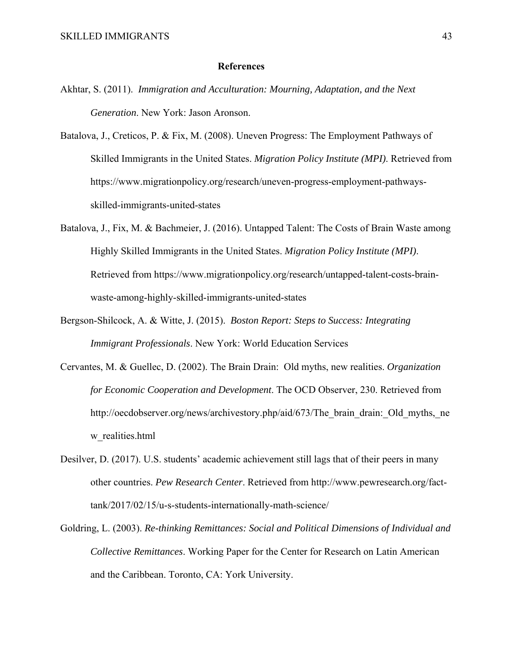#### **References**

- Akhtar, S. (2011). *Immigration and Acculturation: Mourning, Adaptation, and the Next Generation*. New York: Jason Aronson.
- Batalova, J., Creticos, P. & Fix, M. (2008). Uneven Progress: The Employment Pathways of Skilled Immigrants in the United States. *Migration Policy Institute (MPI)*. Retrieved from https://www.migrationpolicy.org/research/uneven-progress-employment-pathwaysskilled-immigrants-united-states
- Batalova, J., Fix, M. & Bachmeier, J. (2016). Untapped Talent: The Costs of Brain Waste among Highly Skilled Immigrants in the United States. *Migration Policy Institute (MPI)*. Retrieved from https://www.migrationpolicy.org/research/untapped-talent-costs-brainwaste-among-highly-skilled-immigrants-united-states
- Bergson-Shilcock, A. & Witte, J. (2015). *Boston Report: Steps to Success: Integrating Immigrant Professionals*. New York: World Education Services
- Cervantes, M. & Guellec, D. (2002). The Brain Drain: Old myths, new realities. *Organization for Economic Cooperation and Development*. The OCD Observer, 230. Retrieved from http://oecdobserver.org/news/archivestory.php/aid/673/The brain drain: Old myths, ne w\_realities.html
- Desilver, D. (2017). U.S. students' academic achievement still lags that of their peers in many other countries. *Pew Research Center*. Retrieved from http://www.pewresearch.org/facttank/2017/02/15/u-s-students-internationally-math-science/
- Goldring, L. (2003). *Re-thinking Remittances: Social and Political Dimensions of Individual and Collective Remittances*. Working Paper for the Center for Research on Latin American and the Caribbean. Toronto, CA: York University.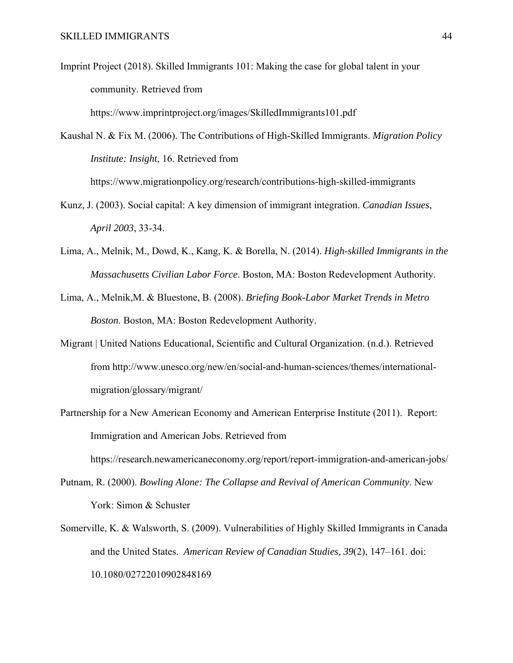Imprint Project (2018). Skilled Immigrants 101: Making the case for global talent in your community. Retrieved from

https://www.imprintproject.org/images/SkilledImmigrants101.pdf

Kaushal N. & Fix M. (2006). The Contributions of High-Skilled Immigrants. *Migration Policy Institute: Insight*, 16. Retrieved from https://www.migrationpolicy.org/research/contributions-high-skilled-immigrants

- Kunz, J. (2003). Social capital: A key dimension of immigrant integration. *Canadian Issues*, *April 2003*, 33-34.
- Lima, A., Melnik, M., Dowd, K., Kang, K. & Borella, N. (2014). *High-skilled Immigrants in the Massachusetts Civilian Labor Force*. Boston, MA: Boston Redevelopment Authority.
- Lima, A., Melnik,M. & Bluestone, B. (2008). *Briefing Book-Labor Market Trends in Metro Boston*. Boston, MA: Boston Redevelopment Authority.
- Migrant | United Nations Educational, Scientific and Cultural Organization. (n.d.). Retrieved from http://www.unesco.org/new/en/social-and-human-sciences/themes/internationalmigration/glossary/migrant/
- Partnership for a New American Economy and American Enterprise Institute (2011). Report: Immigration and American Jobs. Retrieved from

https://research.newamericaneconomy.org/report/report-immigration-and-american-jobs/

- Putnam, R. (2000). *Bowling Alone: The Collapse and Revival of American Community*. New York: Simon & Schuster
- Somerville, K. & Walsworth, S. (2009). Vulnerabilities of Highly Skilled Immigrants in Canada and the United States. *American Review of Canadian Studies, 39*(2), 147–161. doi: 10.1080/02722010902848169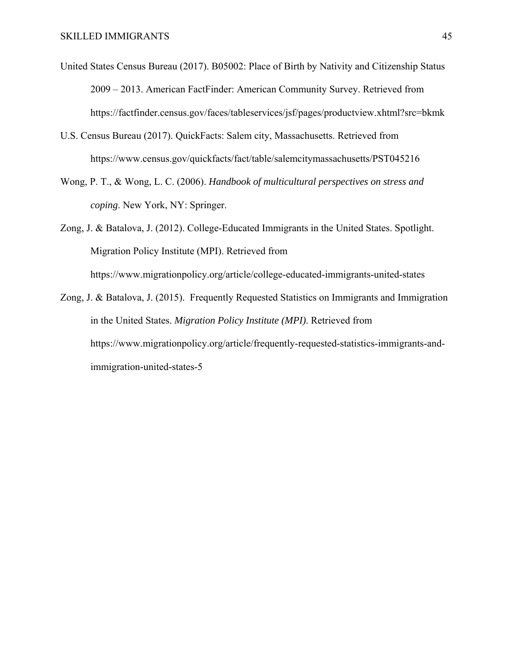- United States Census Bureau (2017). B05002: Place of Birth by Nativity and Citizenship Status 2009 – 2013. American FactFinder: American Community Survey. Retrieved from https://factfinder.census.gov/faces/tableservices/jsf/pages/productview.xhtml?src=bkmk
- U.S. Census Bureau (2017). QuickFacts: Salem city, Massachusetts. Retrieved from https://www.census.gov/quickfacts/fact/table/salemcitymassachusetts/PST045216
- Wong, P. T., & Wong, L. C. (2006). *Handbook of multicultural perspectives on stress and coping*. New York, NY: Springer.

Zong, J. & Batalova, J. (2012). College-Educated Immigrants in the United States. Spotlight. Migration Policy Institute (MPI). Retrieved from https://www.migrationpolicy.org/article/college-educated-immigrants-united-states

Zong, J. & Batalova, J. (2015). Frequently Requested Statistics on Immigrants and Immigration in the United States. *Migration Policy Institute (MPI)*. Retrieved from https://www.migrationpolicy.org/article/frequently-requested-statistics-immigrants-andimmigration-united-states-5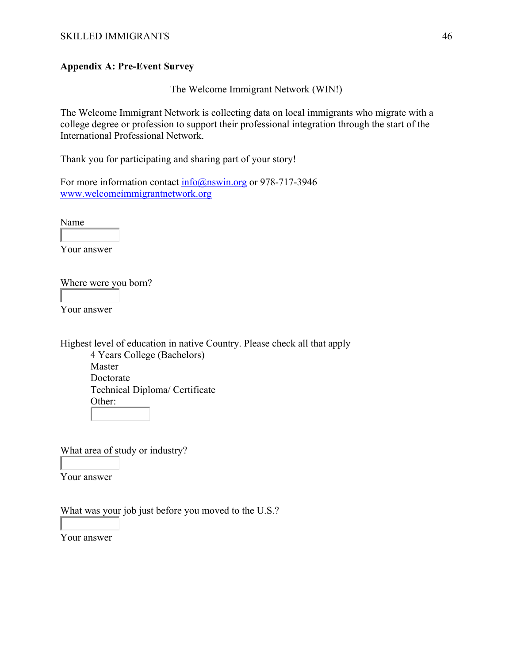# **Appendix A: Pre-Event Survey**

The Welcome Immigrant Network (WIN!)

The Welcome Immigrant Network is collecting data on local immigrants who migrate with a college degree or profession to support their professional integration through the start of the International Professional Network.

Thank you for participating and sharing part of your story!

For more information contact info@nswin.org or 978-717-3946 www.welcomeimmigrantnetwork.org

Name

Your answer

Where were you born?

Your answer

Highest level of education in native Country. Please check all that apply 4 Years College (Bachelors) Master Doctorate Technical Diploma/ Certificate Other:

What area of study or industry?

Your answer

What was your job just before you moved to the U.S.?

Your answer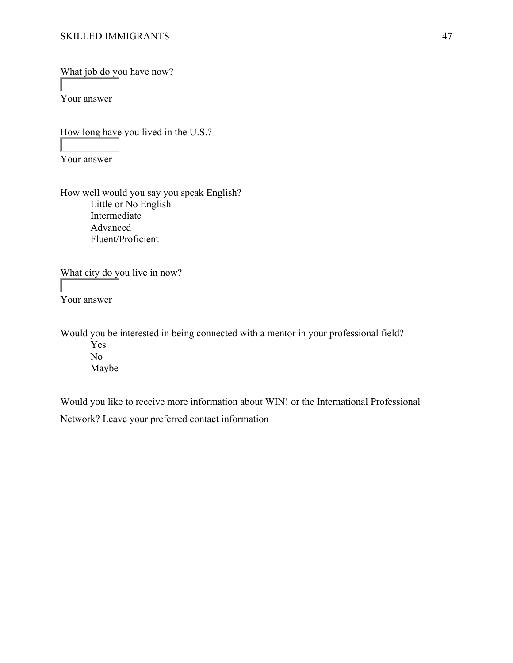What job do you have now?

Your answer

How long have you lived in the U.S.?

Your answer

How well would you say you speak English? Little or No English Intermediate Advanced Fluent/Proficient

What city do you live in now?

Your answer

Would you be interested in being connected with a mentor in your professional field? Yes No Maybe

Would you like to receive more information about WIN! or the International Professional Network? Leave your preferred contact information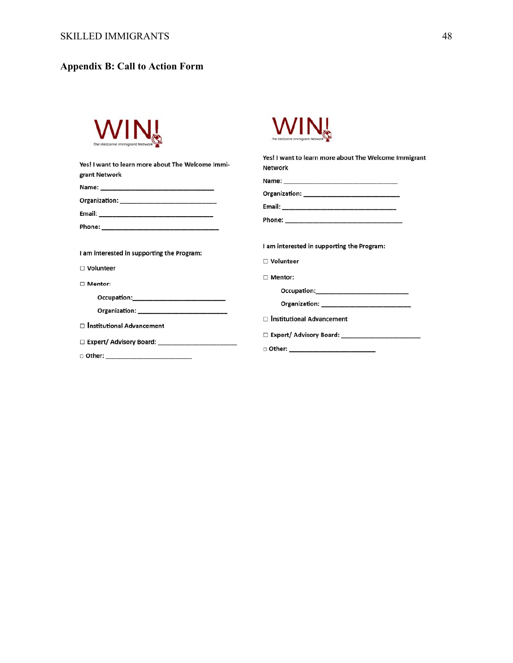# **Appendix B: Call to Action Form**

| Yes! I want to learn more about The Welcome Immi-                                                                                                                                                                              | Yes! I want to learn more about The Welcome Immigrant |
|--------------------------------------------------------------------------------------------------------------------------------------------------------------------------------------------------------------------------------|-------------------------------------------------------|
| grant Network                                                                                                                                                                                                                  | <b>Network</b>                                        |
|                                                                                                                                                                                                                                |                                                       |
|                                                                                                                                                                                                                                |                                                       |
|                                                                                                                                                                                                                                |                                                       |
|                                                                                                                                                                                                                                | Phone: _________________________                      |
| I am interested in supporting the Program:                                                                                                                                                                                     | I am interested in supporting the Program:            |
| $\Box$ Volunteer                                                                                                                                                                                                               | $\Box$ Volunteer                                      |
| □ Mentor:                                                                                                                                                                                                                      | $\Box$ Mentor:                                        |
| Occupation:_____________________                                                                                                                                                                                               | Occupation:______________________                     |
| Organization: New York Products and Security Assessment of the Assessment of the Assessment of the Assessment of the Assessment of the Assessment of the Assessment of the Assessment of the Assessment of the Assessment of t |                                                       |
| □ Institutional Advancement                                                                                                                                                                                                    | □ Institutional Advancement                           |
| □ Expert/ Advisory Board: _____________________                                                                                                                                                                                |                                                       |
| □ Other: ________________________                                                                                                                                                                                              |                                                       |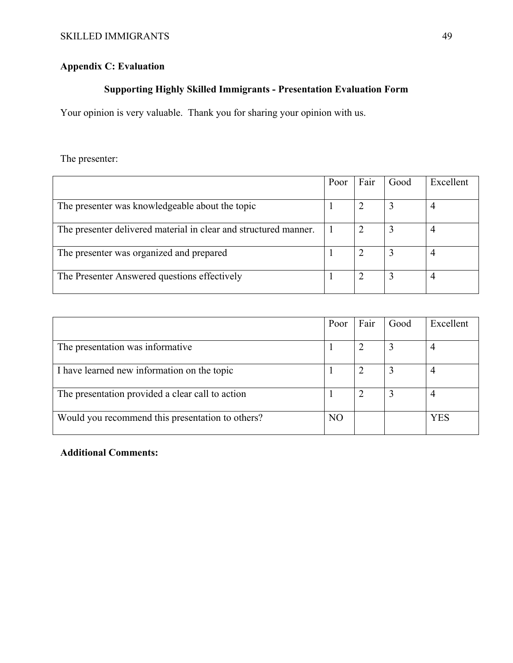# **Appendix C: Evaluation**

# **Supporting Highly Skilled Immigrants - Presentation Evaluation Form**

Your opinion is very valuable. Thank you for sharing your opinion with us.

The presenter:

|                                                                  | Poor | Fair | Good | Excellent |
|------------------------------------------------------------------|------|------|------|-----------|
|                                                                  |      |      |      |           |
| The presenter was knowledgeable about the topic                  |      |      |      |           |
| The presenter delivered material in clear and structured manner. |      |      |      |           |
| The presenter was organized and prepared                         |      |      |      |           |
| The Presenter Answered questions effectively                     |      |      |      | 4         |

|                                                  | Poor           | Fair | Good | Excellent |
|--------------------------------------------------|----------------|------|------|-----------|
| The presentation was informative                 |                |      |      |           |
| I have learned new information on the topic      |                |      |      | 4         |
| The presentation provided a clear call to action |                |      |      |           |
| Would you recommend this presentation to others? | N <sub>O</sub> |      |      | YES       |

## **Additional Comments:**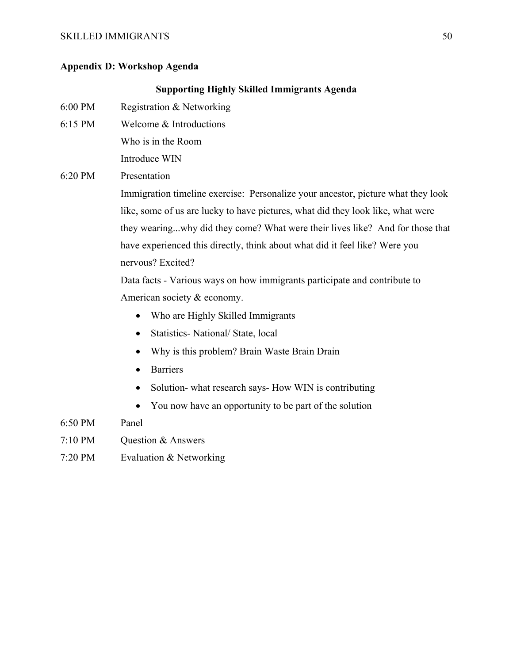#### SKILLED IMMIGRANTS 50

#### **Appendix D: Workshop Agenda**

#### **Supporting Highly Skilled Immigrants Agenda**

- 6:00 PM Registration & Networking
- 6:15 PM Welcome & Introductions

Who is in the Room

Introduce WIN

#### 6:20 PM Presentation

Immigration timeline exercise: Personalize your ancestor, picture what they look like, some of us are lucky to have pictures, what did they look like, what were they wearing...why did they come? What were their lives like? And for those that have experienced this directly, think about what did it feel like? Were you nervous? Excited?

Data facts - Various ways on how immigrants participate and contribute to American society & economy.

- Who are Highly Skilled Immigrants
- Statistics- National/ State, local
- Why is this problem? Brain Waste Brain Drain
- Barriers
- Solution- what research says- How WIN is contributing
- You now have an opportunity to be part of the solution
- 6:50 PM Panel
- 7:10 PM Question & Answers
- 7:20 PM Evaluation & Networking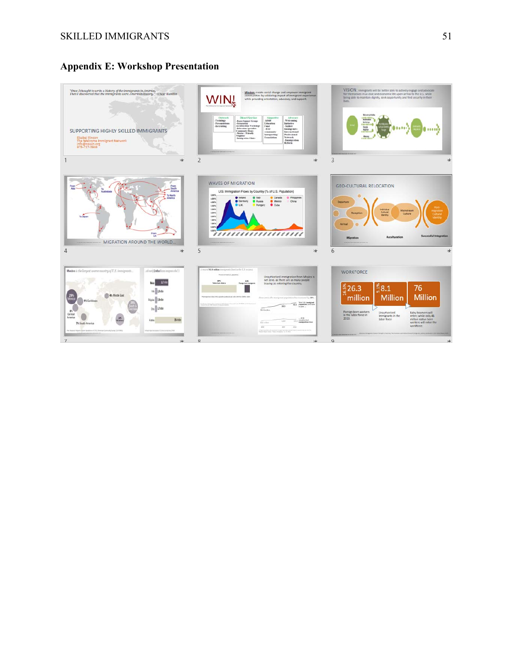# **Appendix E: Workshop Presentation**

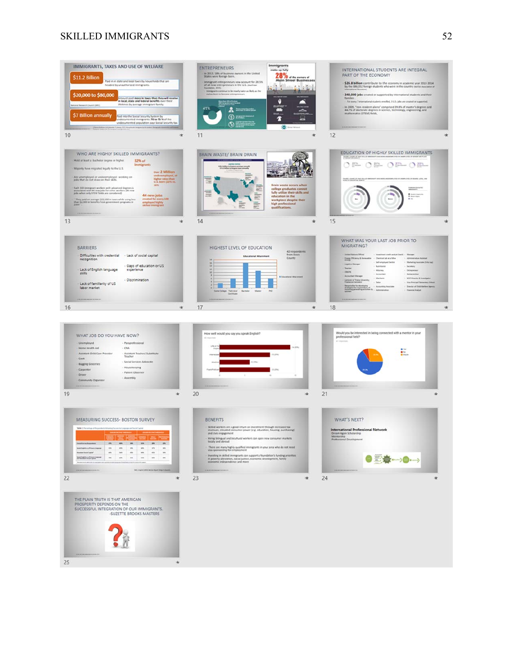#### SKILLED IMMIGRANTS 52